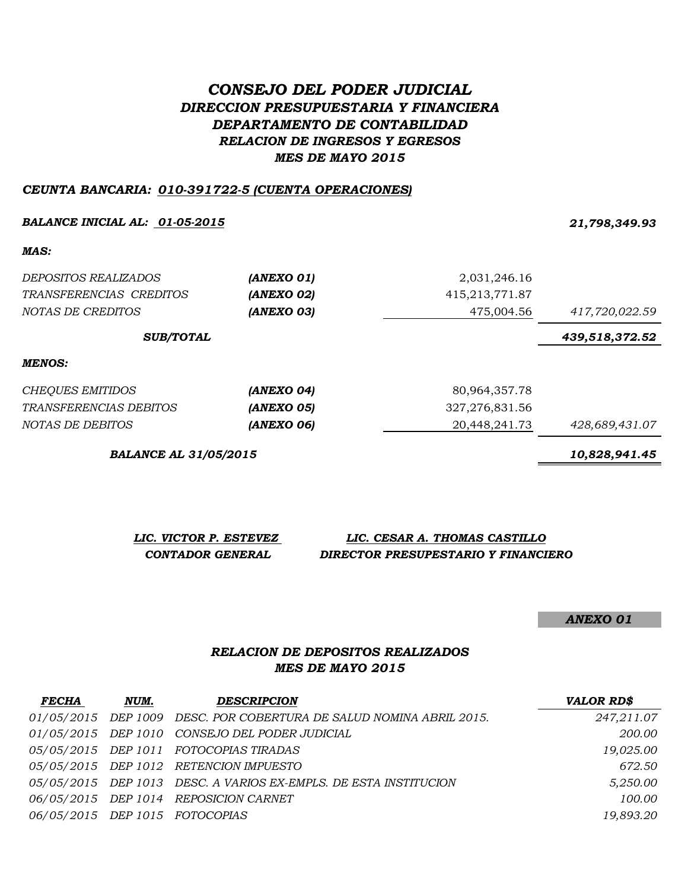# *CONSEJO DEL PODER JUDICIAL DIRECCION PRESUPUESTARIA Y FINANCIERA DEPARTAMENTO DE CONTABILIDAD RELACION DE INGRESOS Y EGRESOS MES DE MAYO 2015*

#### *CEUNTA BANCARIA: 010-391722-5 (CUENTA OPERACIONES)*

#### *BALANCE INICIAL AL: 01-05-2015 21,798,349.93*

| <i>DEPOSITOS REALIZADOS</i>   | (ANEXO 01)        | 2,031,246.16     |                |
|-------------------------------|-------------------|------------------|----------------|
| TRANSFERENCIAS CREDITOS       | <b>(ANEXO 02)</b> | 415,213,771.87   |                |
| NOTAS DE CREDITOS             | (ANEXO 03)        | 475,004.56       | 417,720,022.59 |
| <b>SUB/TOTAL</b>              |                   |                  | 439,518,372.52 |
| MENOS:                        |                   |                  |                |
| CHEQUES EMITIDOS              | (ANEXO 04)        | 80,964,357.78    |                |
| <i>TRANSFERENCIAS DEBITOS</i> | (ANEXO 05)        | 327, 276, 831.56 |                |
| NOTAS DE DEBITOS              | (ANEXO 06)        | 20,448,241.73    | 428,689,431.07 |

*BALANCE AL 31/05/2015 10,828,941.45*

| LIC. VICTOR P. ESTEVEZ | LIC. CESAR A. THOMAS CASTILLO       |
|------------------------|-------------------------------------|
| CONTADOR GENERAL       | DIRECTOR PRESUPESTARIO Y FINANCIERO |

*ANEXO 01*

### *RELACION DE DEPOSITOS REALIZADOS MES DE MAYO 2015*

| <i>FECHA</i> | NUM. | <b>DESCRIPCION</b>                                                  | <b>VALOR RD\$</b> |
|--------------|------|---------------------------------------------------------------------|-------------------|
|              |      | 01/05/2015 DEP 1009 DESC. POR COBERTURA DE SALUD NOMINA ABRIL 2015. | 247,211.07        |
|              |      | 01/05/2015 DEP 1010 CONSEJO DEL PODER JUDICIAL                      | 200.00            |
|              |      | 05/05/2015 DEP 1011 FOTOCOPIAS TIRADAS                              | 19,025.00         |
|              |      | 05/05/2015 DEP 1012 RETENCION IMPUESTO                              | 672.50            |
|              |      | 05/05/2015 DEP 1013 DESC. A VARIOS EX-EMPLS. DE ESTA INSTITUCION    | 5,250.00          |
|              |      | 06/05/2015 DEP 1014 REPOSICION CARNET                               | 100.00            |
|              |      | 06/05/2015 DEP 1015 FOTOCOPIAS                                      | 19,893.20         |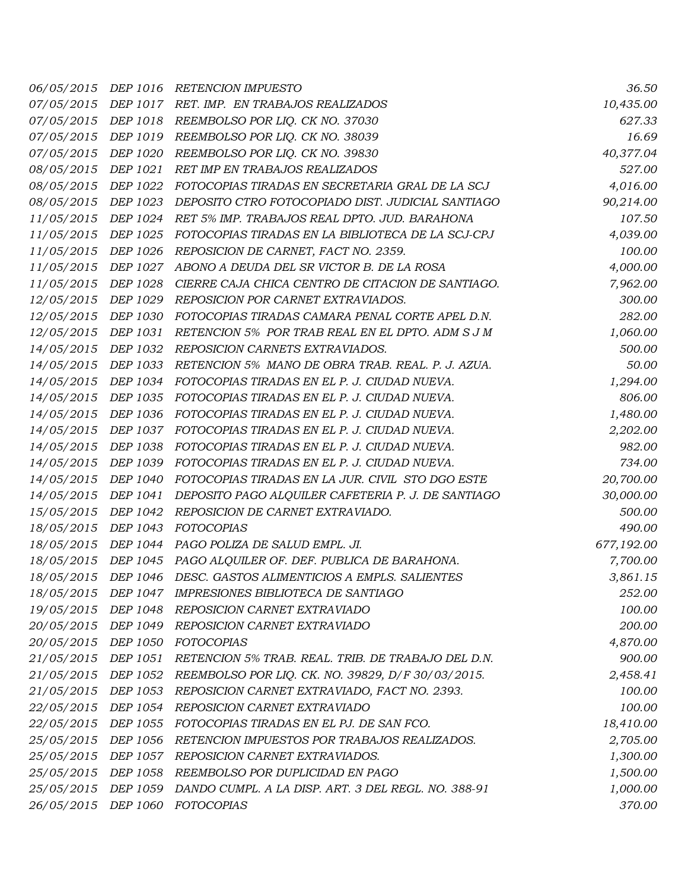| 06/05/2015        | DEP 1016 | RETENCION IMPUESTO                                         | 36.50      |
|-------------------|----------|------------------------------------------------------------|------------|
| 07/05/2015        |          | DEP 1017 RET. IMP. EN TRABAJOS REALIZADOS                  | 10,435.00  |
| 07/05/2015        |          | DEP 1018 REEMBOLSO POR LIQ. CK NO. 37030                   | 627.33     |
| 07/05/2015        |          | DEP 1019 REEMBOLSO POR LIQ. CK NO. 38039                   | 16.69      |
| <i>07/05/2015</i> |          | DEP 1020 REEMBOLSO POR LIQ. CK NO. 39830                   | 40,377.04  |
| 08/05/2015        | DEP 1021 | RET IMP EN TRABAJOS REALIZADOS                             | 527.00     |
| 08/05/2015        | DEP 1022 | FOTOCOPIAS TIRADAS EN SECRETARIA GRAL DE LA SCJ            | 4,016.00   |
| 08/05/2015        | DEP 1023 | DEPOSITO CTRO FOTOCOPIADO DIST. JUDICIAL SANTIAGO          | 90,214.00  |
| 11/05/2015        | DEP 1024 | RET 5% IMP. TRABAJOS REAL DPTO. JUD. BARAHONA              | 107.50     |
| 11/05/2015        |          | DEP 1025 FOTOCOPIAS TIRADAS EN LA BIBLIOTECA DE LA SCJ-CPJ | 4,039.00   |
| 11/05/2015        | DEP 1026 | REPOSICION DE CARNET, FACT NO. 2359.                       | 100.00     |
| 11/05/2015        |          | DEP 1027 ABONO A DEUDA DEL SR VICTOR B. DE LA ROSA         | 4,000.00   |
| 11/05/2015        | DEP 1028 | CIERRE CAJA CHICA CENTRO DE CITACION DE SANTIAGO.          | 7,962.00   |
| 12/05/2015        | DEP 1029 | REPOSICION POR CARNET EXTRAVIADOS.                         | 300.00     |
| 12/05/2015        |          | DEP 1030 FOTOCOPIAS TIRADAS CAMARA PENAL CORTE APEL D.N.   | 282.00     |
| 12/05/2015        | DEP 1031 | RETENCION 5% POR TRAB REAL EN EL DPTO. ADM S J M           | 1,060.00   |
| 14/05/2015        |          | DEP 1032 REPOSICION CARNETS EXTRAVIADOS.                   | 500.00     |
| 14/05/2015        | DEP 1033 | RETENCION 5% MANO DE OBRA TRAB. REAL. P. J. AZUA.          | 50.00      |
| 14/05/2015        |          | DEP 1034 FOTOCOPIAS TIRADAS EN EL P. J. CIUDAD NUEVA.      | 1,294.00   |
| 14/05/2015        | DEP 1035 | FOTOCOPIAS TIRADAS EN EL P. J. CIUDAD NUEVA.               | 806.00     |
| 14/05/2015        | DEP 1036 | FOTOCOPIAS TIRADAS EN EL P. J. CIUDAD NUEVA.               | 1,480.00   |
| 14/05/2015        | DEP 1037 | FOTOCOPIAS TIRADAS EN EL P. J. CIUDAD NUEVA.               | 2,202.00   |
| 14/05/2015        | DEP 1038 | FOTOCOPIAS TIRADAS EN EL P. J. CIUDAD NUEVA.               | 982.00     |
| 14/05/2015        |          | DEP 1039 FOTOCOPIAS TIRADAS EN EL P. J. CIUDAD NUEVA.      | 734.00     |
| 14/05/2015        | DEP 1040 | FOTOCOPIAS TIRADAS EN LA JUR. CIVIL STO DGO ESTE           | 20,700.00  |
| 14/05/2015        | DEP 1041 | DEPOSITO PAGO ALQUILER CAFETERIA P. J. DE SANTIAGO         | 30,000.00  |
| 15/05/2015        | DEP 1042 | REPOSICION DE CARNET EXTRAVIADO.                           | 500.00     |
| 18/05/2015        | DEP 1043 | <b>FOTOCOPIAS</b>                                          | 490.00     |
| 18/05/2015        |          | DEP 1044 PAGO POLIZA DE SALUD EMPL. JI.                    | 677,192.00 |
| 18/05/2015        | DEP 1045 | PAGO ALQUILER OF. DEF. PUBLICA DE BARAHONA.                | 7,700.00   |
| 18/05/2015        |          | DEP 1046 DESC. GASTOS ALIMENTICIOS A EMPLS. SALIENTES      | 3,861.15   |
| 18/05/2015        | DEP 1047 | IMPRESIONES BIBLIOTECA DE SANTIAGO                         | 252.00     |
| 19/05/2015        | DEP 1048 | REPOSICION CARNET EXTRAVIADO                               | 100.00     |
| 20/05/2015        | DEP 1049 | REPOSICION CARNET EXTRAVIADO                               | 200.00     |
| 20/05/2015        | DEP 1050 | <b>FOTOCOPIAS</b>                                          | 4,870.00   |
| 21/05/2015        | DEP 1051 | RETENCION 5% TRAB. REAL. TRIB. DE TRABAJO DEL D.N.         | 900.00     |
| 21/05/2015        | DEP 1052 | REEMBOLSO POR LIQ. CK. NO. 39829, D/F 30/03/2015.          | 2,458.41   |
| 21/05/2015        | DEP 1053 | REPOSICION CARNET EXTRAVIADO, FACT NO. 2393.               | 100.00     |
| 22/05/2015        | DEP 1054 | REPOSICION CARNET EXTRAVIADO                               | 100.00     |
| 22/05/2015        | DEP 1055 | FOTOCOPIAS TIRADAS EN EL PJ. DE SAN FCO.                   | 18,410.00  |
| 25/05/2015        | DEP 1056 | RETENCION IMPUESTOS POR TRABAJOS REALIZADOS.               | 2,705.00   |
| 25/05/2015        | DEP 1057 | REPOSICION CARNET EXTRAVIADOS.                             | 1,300.00   |
| 25/05/2015        | DEP 1058 | REEMBOLSO POR DUPLICIDAD EN PAGO                           | 1,500.00   |
| 25/05/2015        | DEP 1059 | DANDO CUMPL. A LA DISP. ART. 3 DEL REGL. NO. 388-91        | 1,000.00   |
| 26/05/2015        | DEP 1060 | <b>FOTOCOPIAS</b>                                          | 370.00     |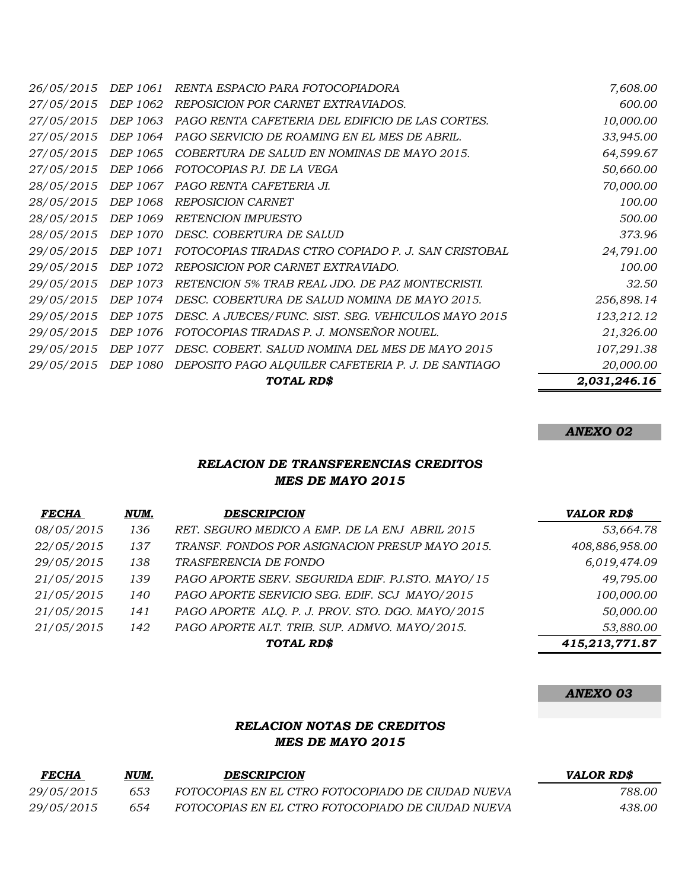|            |                 | TOTAL RD\$                                          | 2,031,246.16 |
|------------|-----------------|-----------------------------------------------------|--------------|
| 29/05/2015 | <i>DEP 1080</i> | DEPOSITO PAGO ALQUILER CAFETERIA P. J. DE SANTIAGO  | 20,000.00    |
| 29/05/2015 | <i>DEP 1077</i> | DESC. COBERT. SALUD NOMINA DEL MES DE MAYO 2015     | 107,291.38   |
| 29/05/2015 | <i>DEP 1076</i> | FOTOCOPIAS TIRADAS P. J. MONSEÑOR NOUEL.            | 21,326.00    |
| 29/05/2015 | DEP 1075        | DESC. A JUECES/FUNC. SIST. SEG. VEHICULOS MAYO 2015 | 123,212.12   |
| 29/05/2015 | <i>DEP 1074</i> | DESC. COBERTURA DE SALUD NOMINA DE MAYO 2015.       | 256,898.14   |
| 29/05/2015 | <i>DEP 1073</i> | RETENCION 5% TRAB REAL JDO. DE PAZ MONTECRISTI.     | 32.50        |
| 29/05/2015 | DEP 1072        | REPOSICION POR CARNET EXTRAVIADO.                   | 100.00       |
| 29/05/2015 | DEP 1071        | FOTOCOPIAS TIRADAS CTRO COPIADO P. J. SAN CRISTOBAL | 24,791.00    |
| 28/05/2015 | <i>DEP 1070</i> | DESC. COBERTURA DE SALUD                            | 373.96       |
| 28/05/2015 | DEP 1069        | RETENCION IMPUESTO                                  | 500.00       |
| 28/05/2015 | DEP 1068        | REPOSICION CARNET                                   | 100.00       |
| 28/05/2015 | DEP 1067        | PAGO RENTA CAFETERIA JI.                            | 70,000.00    |
| 27/05/2015 | DEP 1066        | FOTOCOPIAS PJ. DE LA VEGA                           | 50,660.00    |
| 27/05/2015 | <i>DEP 1065</i> | COBERTURA DE SALUD EN NOMINAS DE MAYO 2015.         | 64,599.67    |
| 27/05/2015 | DEP 1064        | PAGO SERVICIO DE ROAMING EN EL MES DE ABRIL.        | 33,945.00    |
| 27/05/2015 | DEP 1063        | PAGO RENTA CAFETERIA DEL EDIFICIO DE LAS CORTES.    | 10,000.00    |
| 27/05/2015 | DEP 1062        | REPOSICION POR CARNET EXTRAVIADOS.                  | 600.00       |
| 26/05/2015 | DEP 1061        | RENTA ESPACIO PARA FOTOCOPIADORA                    | 7,608.00     |

#### *ANEXO 02*

### *RELACION DE TRANSFERENCIAS CREDITOS MES DE MAYO 2015*

| <b>FECHA</b> | NUM. | <b>DESCRIPCION</b>                               | <b>VALOR RD\$</b> |
|--------------|------|--------------------------------------------------|-------------------|
| 08/05/2015   | 136  | RET. SEGURO MEDICO A EMP. DE LA ENJ ABRIL 2015   | 53,664.78         |
| 22/05/2015   | 137  | TRANSF. FONDOS POR ASIGNACION PRESUP MAYO 2015.  | 408,886,958.00    |
| 29/05/2015   | 138  | TRASFERENCIA DE FONDO                            | 6,019,474.09      |
| 21/05/2015   | 139  | PAGO APORTE SERV. SEGURIDA EDIF. PJ.STO. MAYO/15 | 49,795.00         |
| 21/05/2015   | 140  | PAGO APORTE SERVICIO SEG. EDIF. SCJ MAYO/2015    | 100,000.00        |
| 21/05/2015   | 141  | PAGO APORTE ALQ. P. J. PROV. STO. DGO. MAYO/2015 | 50,000.00         |
| 21/05/2015   | 142  | PAGO APORTE ALT. TRIB. SUP. ADMVO. MAYO/2015.    | 53,880.00         |
|              |      | TOTAL RD\$                                       | 415,213,771.87    |

### *ANEXO 03*

### *RELACION NOTAS DE CREDITOS MES DE MAYO 2015*

| FECHA             | NUM. | <b>DESCRIPCION</b>                                | <i>VALOR RD\$</i> |
|-------------------|------|---------------------------------------------------|-------------------|
| <i>29/05/2015</i> | 653  | FOTOCOPIAS EN EL CTRO FOTOCOPIADO DE CIUDAD NUEVA | 788.00            |
| <i>29/05/2015</i> | 654  | FOTOCOPIAS EN EL CTRO FOTOCOPIADO DE CIUDAD NUEVA | 438.00            |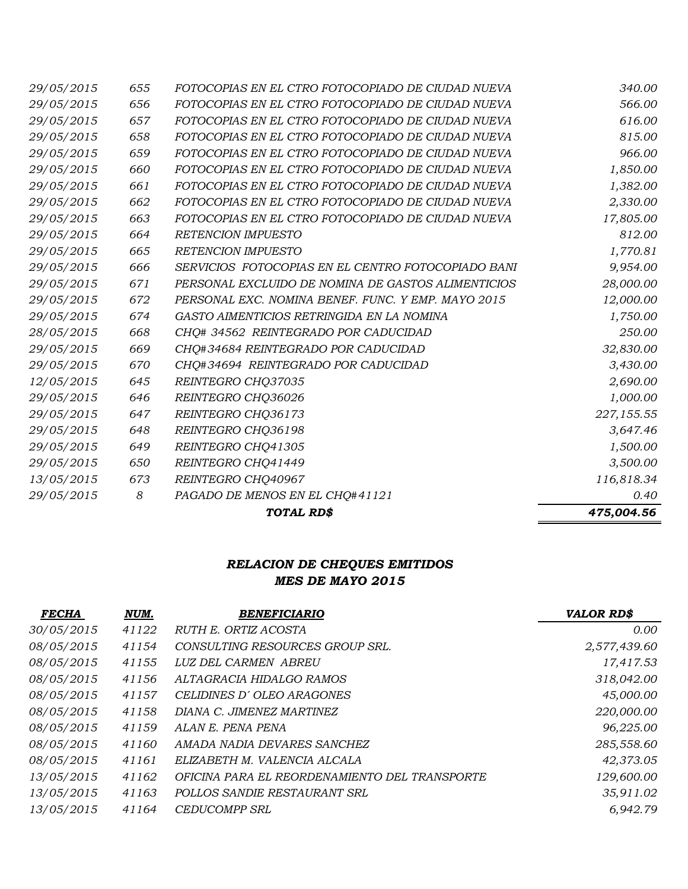|            |     | TOTAL RD\$                                         | 475,004.56 |
|------------|-----|----------------------------------------------------|------------|
| 29/05/2015 | 8   | PAGADO DE MENOS EN EL CHQ#41121                    | 0.40       |
| 13/05/2015 | 673 | REINTEGRO CHQ40967                                 | 116,818.34 |
| 29/05/2015 | 650 | REINTEGRO CHQ41449                                 | 3,500.00   |
| 29/05/2015 | 649 | REINTEGRO CHQ41305                                 | 1,500.00   |
| 29/05/2015 | 648 | REINTEGRO CHQ36198                                 | 3,647.46   |
| 29/05/2015 | 647 | REINTEGRO CHQ36173                                 | 227,155.55 |
| 29/05/2015 | 646 | REINTEGRO CHQ36026                                 | 1,000.00   |
| 12/05/2015 | 645 | REINTEGRO CHQ37035                                 | 2,690.00   |
| 29/05/2015 | 670 | CHQ#34694 REINTEGRADO POR CADUCIDAD                | 3,430.00   |
| 29/05/2015 | 669 | CHQ#34684 REINTEGRADO POR CADUCIDAD                | 32,830.00  |
| 28/05/2015 | 668 | CHQ# 34562 REINTEGRADO POR CADUCIDAD               | 250.00     |
| 29/05/2015 | 674 | GASTO AIMENTICIOS RETRINGIDA EN LA NOMINA          | 1,750.00   |
| 29/05/2015 | 672 | PERSONAL EXC. NOMINA BENEF. FUNC. Y EMP. MAYO 2015 | 12,000.00  |
| 29/05/2015 | 671 | PERSONAL EXCLUIDO DE NOMINA DE GASTOS ALIMENTICIOS | 28,000.00  |
| 29/05/2015 | 666 | SERVICIOS FOTOCOPIAS EN EL CENTRO FOTOCOPIADO BANI | 9,954.00   |
| 29/05/2015 | 665 | <b>RETENCION IMPUESTO</b>                          | 1,770.81   |
| 29/05/2015 | 664 | <b>RETENCION IMPUESTO</b>                          | 812.00     |
| 29/05/2015 | 663 | FOTOCOPIAS EN EL CTRO FOTOCOPIADO DE CIUDAD NUEVA  | 17,805.00  |
| 29/05/2015 | 662 | FOTOCOPIAS EN EL CTRO FOTOCOPIADO DE CIUDAD NUEVA  | 2,330.00   |
| 29/05/2015 | 661 | FOTOCOPIAS EN EL CTRO FOTOCOPIADO DE CIUDAD NUEVA  | 1,382.00   |
| 29/05/2015 | 660 | FOTOCOPIAS EN EL CTRO FOTOCOPIADO DE CIUDAD NUEVA  | 1,850.00   |
| 29/05/2015 | 659 | FOTOCOPIAS EN EL CTRO FOTOCOPIADO DE CIUDAD NUEVA  | 966.00     |
| 29/05/2015 | 658 | FOTOCOPIAS EN EL CTRO FOTOCOPIADO DE CIUDAD NUEVA  | 815.00     |
| 29/05/2015 | 657 | FOTOCOPIAS EN EL CTRO FOTOCOPIADO DE CIUDAD NUEVA  | 616.00     |
| 29/05/2015 | 656 | FOTOCOPIAS EN EL CTRO FOTOCOPIADO DE CIUDAD NUEVA  | 566.00     |
| 29/05/2015 | 655 | FOTOCOPIAS EN EL CTRO FOTOCOPIADO DE CIUDAD NUEVA  | 340.00     |

# *RELACION DE CHEQUES EMITIDOS MES DE MAYO 2015*

| <b>FECHA</b>      | NUM.  | <b>BENEFICIARIO</b>                           | <b>VALOR RD\$</b> |
|-------------------|-------|-----------------------------------------------|-------------------|
| 30/05/2015        | 41122 | RUTH E. ORTIZ ACOSTA                          | 0.00              |
| 08/05/2015        | 41154 | CONSULTING RESOURCES GROUP SRL.               | 2,577,439.60      |
| 08/05/2015        | 41155 | LUZ DEL CARMEN ABREU                          | 17,417.53         |
| 08/05/2015        | 41156 | ALTAGRACIA HIDALGO RAMOS                      | 318,042.00        |
| 08/05/2015        | 41157 | CELIDINES D'OLEO ARAGONES                     | 45,000.00         |
| <i>08/05/2015</i> | 41158 | DIANA C. JIMENEZ MARTINEZ                     | 220,000.00        |
| 08/05/2015        | 41159 | ALAN E. PENA PENA                             | 96,225.00         |
| 08/05/2015        | 41160 | AMADA NADIA DEVARES SANCHEZ                   | 285,558.60        |
| 08/05/2015        | 41161 | ELIZABETH M. VALENCIA ALCALA                  | 42,373.05         |
| 13/05/2015        | 41162 | OFICINA PARA EL REORDENAMIENTO DEL TRANSPORTE | 129,600.00        |
| 13/05/2015        | 41163 | POLLOS SANDIE RESTAURANT SRL                  | 35,911.02         |
| 13/05/2015        | 41164 | <b>CEDUCOMPP SRL</b>                          | 6,942.79          |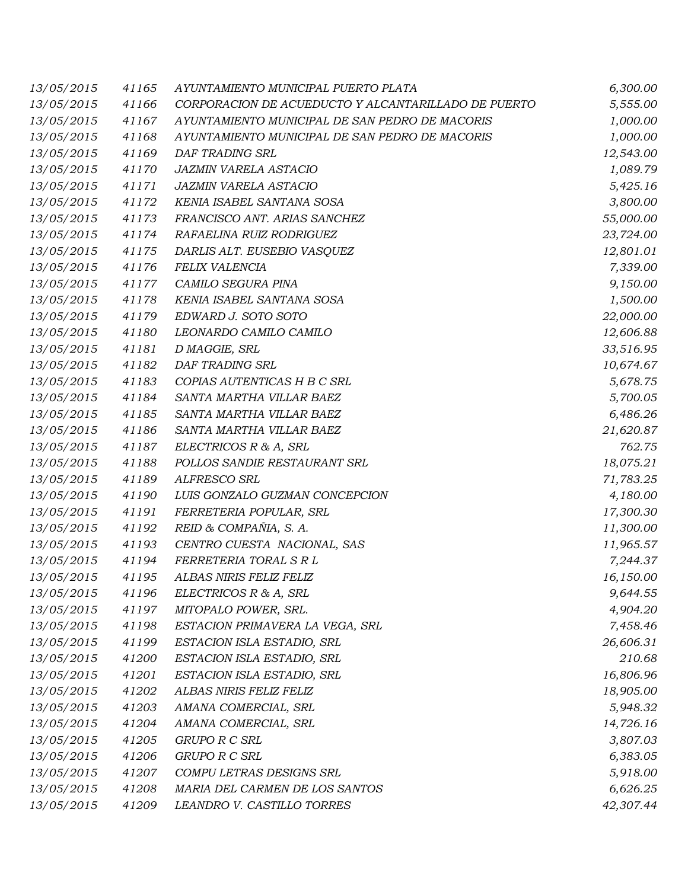| 13/05/2015 | 41165 | AYUNTAMIENTO MUNICIPAL PUERTO PLATA                 | 6,300.00  |
|------------|-------|-----------------------------------------------------|-----------|
| 13/05/2015 | 41166 | CORPORACION DE ACUEDUCTO Y ALCANTARILLADO DE PUERTO | 5,555.00  |
| 13/05/2015 | 41167 | AYUNTAMIENTO MUNICIPAL DE SAN PEDRO DE MACORIS      | 1,000.00  |
| 13/05/2015 | 41168 | AYUNTAMIENTO MUNICIPAL DE SAN PEDRO DE MACORIS      | 1,000.00  |
| 13/05/2015 | 41169 | DAF TRADING SRL                                     | 12,543.00 |
| 13/05/2015 | 41170 | JAZMIN VARELA ASTACIO                               | 1,089.79  |
| 13/05/2015 | 41171 | JAZMIN VARELA ASTACIO                               | 5,425.16  |
| 13/05/2015 | 41172 | KENIA ISABEL SANTANA SOSA                           | 3,800.00  |
| 13/05/2015 | 41173 | FRANCISCO ANT. ARIAS SANCHEZ                        | 55,000.00 |
| 13/05/2015 | 41174 | RAFAELINA RUIZ RODRIGUEZ                            | 23,724.00 |
| 13/05/2015 | 41175 | DARLIS ALT. EUSEBIO VASQUEZ                         | 12,801.01 |
| 13/05/2015 | 41176 | <b>FELIX VALENCIA</b>                               | 7,339.00  |
| 13/05/2015 | 41177 | CAMILO SEGURA PINA                                  | 9,150.00  |
| 13/05/2015 | 41178 | KENIA ISABEL SANTANA SOSA                           | 1,500.00  |
| 13/05/2015 | 41179 | EDWARD J. SOTO SOTO                                 | 22,000.00 |
| 13/05/2015 | 41180 | LEONARDO CAMILO CAMILO                              | 12,606.88 |
| 13/05/2015 | 41181 | D MAGGIE, SRL                                       | 33,516.95 |
| 13/05/2015 | 41182 | DAF TRADING SRL                                     | 10,674.67 |
| 13/05/2015 | 41183 | COPIAS AUTENTICAS H B C SRL                         | 5,678.75  |
| 13/05/2015 | 41184 | SANTA MARTHA VILLAR BAEZ                            | 5,700.05  |
| 13/05/2015 | 41185 | SANTA MARTHA VILLAR BAEZ                            | 6,486.26  |
| 13/05/2015 | 41186 | SANTA MARTHA VILLAR BAEZ                            | 21,620.87 |
| 13/05/2015 | 41187 | ELECTRICOS R & A, SRL                               | 762.75    |
| 13/05/2015 | 41188 | POLLOS SANDIE RESTAURANT SRL                        | 18,075.21 |
| 13/05/2015 | 41189 | ALFRESCO SRL                                        | 71,783.25 |
| 13/05/2015 | 41190 | LUIS GONZALO GUZMAN CONCEPCION                      | 4,180.00  |
| 13/05/2015 | 41191 | FERRETERIA POPULAR, SRL                             | 17,300.30 |
| 13/05/2015 | 41192 | REID & COMPAÑIA, S. A.                              | 11,300.00 |
| 13/05/2015 | 41193 | CENTRO CUESTA NACIONAL, SAS                         | 11,965.57 |
| 13/05/2015 | 41194 | FERRETERIA TORAL S R L                              | 7,244.37  |
| 13/05/2015 | 41195 | ALBAS NIRIS FELIZ FELIZ                             | 16,150.00 |
| 13/05/2015 | 41196 | ELECTRICOS R & A, SRL                               | 9,644.55  |
| 13/05/2015 | 41197 | MITOPALO POWER, SRL.                                | 4,904.20  |
| 13/05/2015 | 41198 | ESTACION PRIMAVERA LA VEGA, SRL                     | 7,458.46  |
| 13/05/2015 | 41199 | ESTACION ISLA ESTADIO, SRL                          | 26,606.31 |
| 13/05/2015 | 41200 | ESTACION ISLA ESTADIO, SRL                          | 210.68    |
| 13/05/2015 | 41201 | ESTACION ISLA ESTADIO, SRL                          | 16,806.96 |
| 13/05/2015 | 41202 | ALBAS NIRIS FELIZ FELIZ                             | 18,905.00 |
| 13/05/2015 | 41203 | AMANA COMERCIAL, SRL                                | 5,948.32  |
| 13/05/2015 | 41204 | AMANA COMERCIAL, SRL                                | 14,726.16 |
| 13/05/2015 | 41205 | <b>GRUPO R C SRL</b>                                | 3,807.03  |
| 13/05/2015 | 41206 | GRUPO R C SRL                                       | 6,383.05  |
| 13/05/2015 | 41207 | COMPU LETRAS DESIGNS SRL                            | 5,918.00  |
| 13/05/2015 | 41208 | MARIA DEL CARMEN DE LOS SANTOS                      | 6,626.25  |
| 13/05/2015 | 41209 | LEANDRO V. CASTILLO TORRES                          | 42,307.44 |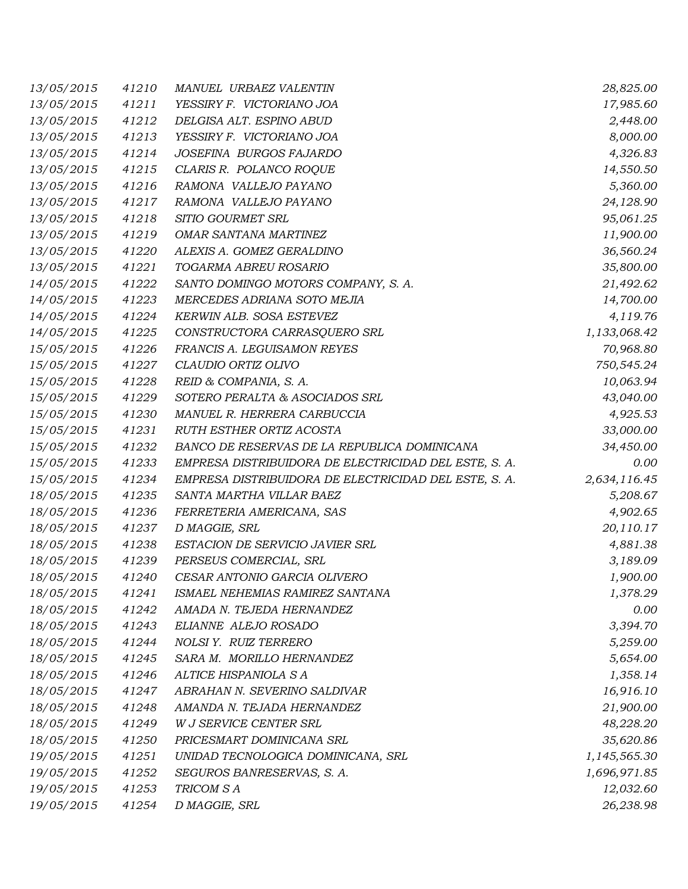| 13/05/2015 | 41210 | MANUEL URBAEZ VALENTIN                                | 28,825.00    |
|------------|-------|-------------------------------------------------------|--------------|
| 13/05/2015 | 41211 | YESSIRY F. VICTORIANO JOA                             | 17,985.60    |
| 13/05/2015 | 41212 | DELGISA ALT. ESPINO ABUD                              | 2,448.00     |
| 13/05/2015 | 41213 | YESSIRY F. VICTORIANO JOA                             | 8,000.00     |
| 13/05/2015 | 41214 | JOSEFINA BURGOS FAJARDO                               | 4,326.83     |
| 13/05/2015 | 41215 | CLARIS R. POLANCO ROQUE                               | 14,550.50    |
| 13/05/2015 | 41216 | RAMONA VALLEJO PAYANO                                 | 5,360.00     |
| 13/05/2015 | 41217 | RAMONA VALLEJO PAYANO                                 | 24,128.90    |
| 13/05/2015 | 41218 | SITIO GOURMET SRL                                     | 95,061.25    |
| 13/05/2015 | 41219 | OMAR SANTANA MARTINEZ                                 | 11,900.00    |
| 13/05/2015 | 41220 | ALEXIS A. GOMEZ GERALDINO                             | 36,560.24    |
| 13/05/2015 | 41221 | TOGARMA ABREU ROSARIO                                 | 35,800.00    |
| 14/05/2015 | 41222 | SANTO DOMINGO MOTORS COMPANY, S. A.                   | 21,492.62    |
| 14/05/2015 | 41223 | MERCEDES ADRIANA SOTO MEJIA                           | 14,700.00    |
| 14/05/2015 | 41224 | KERWIN ALB. SOSA ESTEVEZ                              | 4,119.76     |
| 14/05/2015 | 41225 | CONSTRUCTORA CARRASQUERO SRL                          | 1,133,068.42 |
| 15/05/2015 | 41226 | FRANCIS A. LEGUISAMON REYES                           | 70,968.80    |
| 15/05/2015 | 41227 | CLAUDIO ORTIZ OLIVO                                   | 750,545.24   |
| 15/05/2015 | 41228 | REID & COMPANIA, S. A.                                | 10,063.94    |
| 15/05/2015 | 41229 | SOTERO PERALTA & ASOCIADOS SRL                        | 43,040.00    |
| 15/05/2015 | 41230 | MANUEL R. HERRERA CARBUCCIA                           | 4,925.53     |
| 15/05/2015 | 41231 | RUTH ESTHER ORTIZ ACOSTA                              | 33,000.00    |
| 15/05/2015 | 41232 | BANCO DE RESERVAS DE LA REPUBLICA DOMINICANA          | 34,450.00    |
| 15/05/2015 | 41233 | EMPRESA DISTRIBUIDORA DE ELECTRICIDAD DEL ESTE, S. A. | 0.00         |
| 15/05/2015 | 41234 | EMPRESA DISTRIBUIDORA DE ELECTRICIDAD DEL ESTE, S. A. | 2,634,116.45 |
| 18/05/2015 | 41235 | SANTA MARTHA VILLAR BAEZ                              | 5,208.67     |
| 18/05/2015 | 41236 | FERRETERIA AMERICANA, SAS                             | 4,902.65     |
| 18/05/2015 | 41237 | D MAGGIE, SRL                                         | 20,110.17    |
| 18/05/2015 | 41238 | ESTACION DE SERVICIO JAVIER SRL                       | 4,881.38     |
| 18/05/2015 | 41239 | PERSEUS COMERCIAL, SRL                                | 3,189.09     |
| 18/05/2015 | 41240 | CESAR ANTONIO GARCIA OLIVERO                          | 1,900.00     |
| 18/05/2015 | 41241 | ISMAEL NEHEMIAS RAMIREZ SANTANA                       | 1,378.29     |
| 18/05/2015 | 41242 | AMADA N. TEJEDA HERNANDEZ                             | 0.00         |
| 18/05/2015 | 41243 | ELIANNE ALEJO ROSADO                                  | 3,394.70     |
| 18/05/2015 | 41244 | NOLSI Y. RUIZ TERRERO                                 | 5,259.00     |
| 18/05/2015 | 41245 | SARA M. MORILLO HERNANDEZ                             | 5,654.00     |
| 18/05/2015 | 41246 | ALTICE HISPANIOLA S A                                 | 1,358.14     |
| 18/05/2015 | 41247 | ABRAHAN N. SEVERINO SALDIVAR                          | 16,916.10    |
| 18/05/2015 | 41248 | AMANDA N. TEJADA HERNANDEZ                            | 21,900.00    |
| 18/05/2015 | 41249 | W J SERVICE CENTER SRL                                | 48,228.20    |
| 18/05/2015 | 41250 | PRICESMART DOMINICANA SRL                             | 35,620.86    |
| 19/05/2015 | 41251 | UNIDAD TECNOLOGICA DOMINICANA, SRL                    | 1,145,565.30 |
| 19/05/2015 | 41252 | SEGUROS BANRESERVAS, S. A.                            | 1,696,971.85 |
| 19/05/2015 | 41253 | TRICOM SA                                             | 12,032.60    |
| 19/05/2015 | 41254 | D MAGGIE, SRL                                         | 26,238.98    |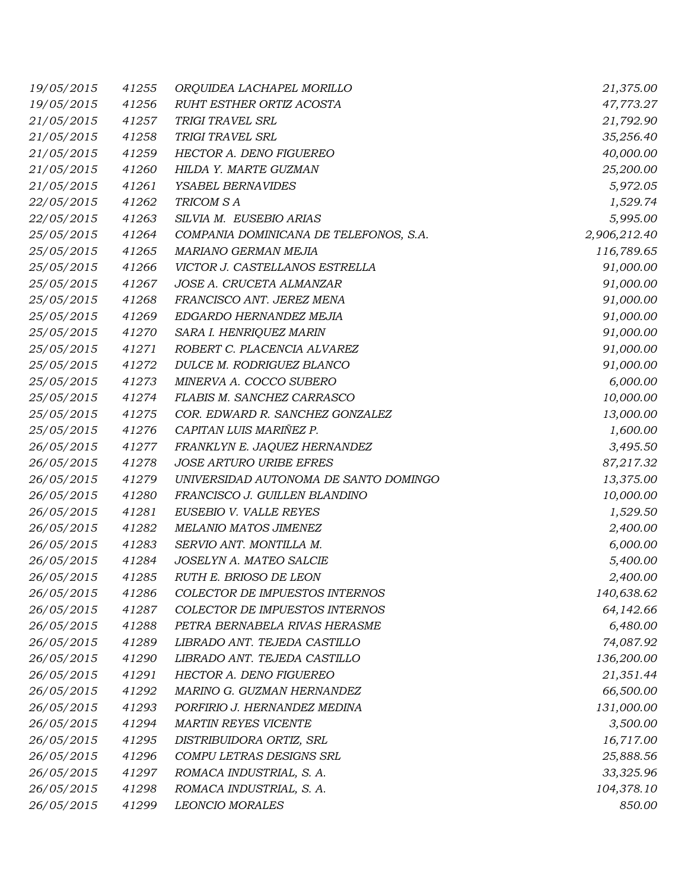| 19/05/2015 | 41255 | ORQUIDEA LACHAPEL MORILLO              | 21,375.00    |
|------------|-------|----------------------------------------|--------------|
| 19/05/2015 | 41256 | RUHT ESTHER ORTIZ ACOSTA               | 47,773.27    |
| 21/05/2015 | 41257 | TRIGI TRAVEL SRL                       | 21,792.90    |
| 21/05/2015 | 41258 | TRIGI TRAVEL SRL                       | 35,256.40    |
| 21/05/2015 | 41259 | HECTOR A. DENO FIGUEREO                | 40,000.00    |
| 21/05/2015 | 41260 | HILDA Y. MARTE GUZMAN                  | 25,200.00    |
| 21/05/2015 | 41261 | YSABEL BERNAVIDES                      | 5,972.05     |
| 22/05/2015 | 41262 | TRICOM SA                              | 1,529.74     |
| 22/05/2015 | 41263 | SILVIA M. EUSEBIO ARIAS                | 5,995.00     |
| 25/05/2015 | 41264 | COMPANIA DOMINICANA DE TELEFONOS, S.A. | 2,906,212.40 |
| 25/05/2015 | 41265 | MARIANO GERMAN MEJIA                   | 116,789.65   |
| 25/05/2015 | 41266 | VICTOR J. CASTELLANOS ESTRELLA         | 91,000.00    |
| 25/05/2015 | 41267 | JOSE A. CRUCETA ALMANZAR               | 91,000.00    |
| 25/05/2015 | 41268 | FRANCISCO ANT. JEREZ MENA              | 91,000.00    |
| 25/05/2015 | 41269 | EDGARDO HERNANDEZ MEJIA                | 91,000.00    |
| 25/05/2015 | 41270 | SARA I. HENRIQUEZ MARIN                | 91,000.00    |
| 25/05/2015 | 41271 | ROBERT C. PLACENCIA ALVAREZ            | 91,000.00    |
| 25/05/2015 | 41272 | DULCE M. RODRIGUEZ BLANCO              | 91,000.00    |
| 25/05/2015 | 41273 | MINERVA A. COCCO SUBERO                | 6,000.00     |
| 25/05/2015 | 41274 | FLABIS M. SANCHEZ CARRASCO             | 10,000.00    |
| 25/05/2015 | 41275 | COR. EDWARD R. SANCHEZ GONZALEZ        | 13,000.00    |
| 25/05/2015 | 41276 | CAPITAN LUIS MARIÑEZ P.                | 1,600.00     |
| 26/05/2015 | 41277 | FRANKLYN E. JAQUEZ HERNANDEZ           | 3,495.50     |
| 26/05/2015 | 41278 | JOSE ARTURO URIBE EFRES                | 87,217.32    |
| 26/05/2015 | 41279 | UNIVERSIDAD AUTONOMA DE SANTO DOMINGO  | 13,375.00    |
| 26/05/2015 | 41280 | FRANCISCO J. GUILLEN BLANDINO          | 10,000.00    |
| 26/05/2015 | 41281 | EUSEBIO V. VALLE REYES                 | 1,529.50     |
| 26/05/2015 | 41282 | MELANIO MATOS JIMENEZ                  | 2,400.00     |
| 26/05/2015 | 41283 | SERVIO ANT. MONTILLA M.                | 6,000.00     |
| 26/05/2015 | 41284 | JOSELYN A. MATEO SALCIE                | 5,400.00     |
| 26/05/2015 | 41285 | RUTH E. BRIOSO DE LEON                 | 2,400.00     |
| 26/05/2015 | 41286 | <b>COLECTOR DE IMPUESTOS INTERNOS</b>  | 140,638.62   |
| 26/05/2015 | 41287 | COLECTOR DE IMPUESTOS INTERNOS         | 64,142.66    |
| 26/05/2015 | 41288 | PETRA BERNABELA RIVAS HERASME          | 6,480.00     |
| 26/05/2015 | 41289 | LIBRADO ANT. TEJEDA CASTILLO           | 74,087.92    |
| 26/05/2015 | 41290 | LIBRADO ANT. TEJEDA CASTILLO           | 136,200.00   |
| 26/05/2015 | 41291 | HECTOR A. DENO FIGUEREO                | 21,351.44    |
| 26/05/2015 | 41292 | MARINO G. GUZMAN HERNANDEZ             | 66,500.00    |
| 26/05/2015 | 41293 | PORFIRIO J. HERNANDEZ MEDINA           | 131,000.00   |
| 26/05/2015 | 41294 | <b>MARTIN REYES VICENTE</b>            | 3,500.00     |
| 26/05/2015 | 41295 | DISTRIBUIDORA ORTIZ, SRL               | 16,717.00    |
| 26/05/2015 | 41296 | COMPU LETRAS DESIGNS SRL               | 25,888.56    |
| 26/05/2015 | 41297 | ROMACA INDUSTRIAL, S. A.               | 33,325.96    |
| 26/05/2015 | 41298 | ROMACA INDUSTRIAL, S. A.               | 104,378.10   |
| 26/05/2015 | 41299 | <b>LEONCIO MORALES</b>                 | 850.00       |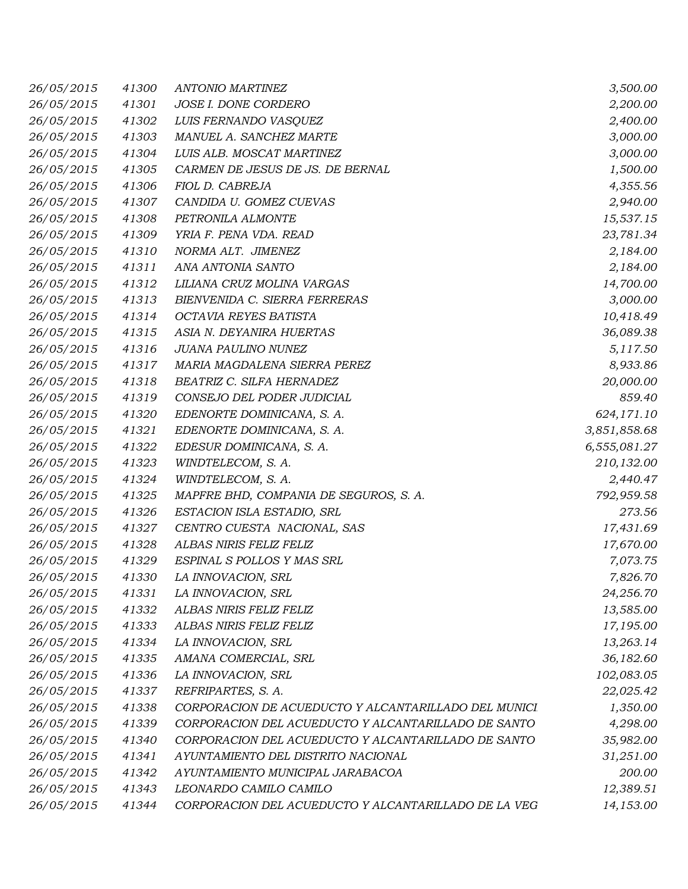| 26/05/2015 | 41300 | ANTONIO MARTINEZ                                     | 3,500.00     |
|------------|-------|------------------------------------------------------|--------------|
| 26/05/2015 | 41301 | JOSE I. DONE CORDERO                                 | 2,200.00     |
| 26/05/2015 | 41302 | LUIS FERNANDO VASQUEZ                                | 2,400.00     |
| 26/05/2015 | 41303 | MANUEL A. SANCHEZ MARTE                              | 3,000.00     |
| 26/05/2015 | 41304 | LUIS ALB. MOSCAT MARTINEZ                            | 3,000.00     |
| 26/05/2015 | 41305 | CARMEN DE JESUS DE JS. DE BERNAL                     | 1,500.00     |
| 26/05/2015 | 41306 | FIOL D. CABREJA                                      | 4,355.56     |
| 26/05/2015 | 41307 | CANDIDA U. GOMEZ CUEVAS                              | 2,940.00     |
| 26/05/2015 | 41308 | PETRONILA ALMONTE                                    | 15,537.15    |
| 26/05/2015 | 41309 | YRIA F. PENA VDA. READ                               | 23,781.34    |
| 26/05/2015 | 41310 | NORMA ALT. JIMENEZ                                   | 2,184.00     |
| 26/05/2015 | 41311 | ANA ANTONIA SANTO                                    | 2,184.00     |
| 26/05/2015 | 41312 | LILIANA CRUZ MOLINA VARGAS                           | 14,700.00    |
| 26/05/2015 | 41313 | BIENVENIDA C. SIERRA FERRERAS                        | 3,000.00     |
| 26/05/2015 | 41314 | OCTAVIA REYES BATISTA                                | 10,418.49    |
| 26/05/2015 | 41315 | ASIA N. DEYANIRA HUERTAS                             | 36,089.38    |
| 26/05/2015 | 41316 | JUANA PAULINO NUNEZ                                  | 5,117.50     |
| 26/05/2015 | 41317 | MARIA MAGDALENA SIERRA PEREZ                         | 8,933.86     |
| 26/05/2015 | 41318 | BEATRIZ C. SILFA HERNADEZ                            | 20,000.00    |
| 26/05/2015 | 41319 | CONSEJO DEL PODER JUDICIAL                           | 859.40       |
| 26/05/2015 | 41320 | EDENORTE DOMINICANA, S. A.                           | 624,171.10   |
| 26/05/2015 | 41321 | EDENORTE DOMINICANA, S. A.                           | 3,851,858.68 |
| 26/05/2015 | 41322 | EDESUR DOMINICANA, S. A.                             | 6,555,081.27 |
| 26/05/2015 | 41323 | WINDTELECOM, S. A.                                   | 210,132.00   |
| 26/05/2015 | 41324 | WINDTELECOM, S. A.                                   | 2,440.47     |
| 26/05/2015 | 41325 | MAPFRE BHD, COMPANIA DE SEGUROS, S. A.               | 792,959.58   |
| 26/05/2015 | 41326 | ESTACION ISLA ESTADIO, SRL                           | 273.56       |
| 26/05/2015 | 41327 | CENTRO CUESTA NACIONAL, SAS                          | 17,431.69    |
| 26/05/2015 | 41328 | ALBAS NIRIS FELIZ FELIZ                              | 17,670.00    |
| 26/05/2015 | 41329 | ESPINAL S POLLOS Y MAS SRL                           | 7,073.75     |
| 26/05/2015 | 41330 | LA INNOVACION, SRL                                   | 7,826.70     |
| 26/05/2015 | 41331 | LA INNOVACION, SRL                                   | 24,256.70    |
| 26/05/2015 | 41332 | ALBAS NIRIS FELIZ FELIZ                              | 13,585.00    |
| 26/05/2015 | 41333 | ALBAS NIRIS FELIZ FELIZ                              | 17,195.00    |
| 26/05/2015 | 41334 | LA INNOVACION, SRL                                   | 13,263.14    |
| 26/05/2015 | 41335 | AMANA COMERCIAL, SRL                                 | 36,182.60    |
| 26/05/2015 | 41336 | LA INNOVACION, SRL                                   | 102,083.05   |
| 26/05/2015 | 41337 | REFRIPARTES, S. A.                                   | 22,025.42    |
| 26/05/2015 | 41338 | CORPORACION DE ACUEDUCTO Y ALCANTARILLADO DEL MUNICI | 1,350.00     |
| 26/05/2015 | 41339 | CORPORACION DEL ACUEDUCTO Y ALCANTARILLADO DE SANTO  | 4,298.00     |
| 26/05/2015 | 41340 | CORPORACION DEL ACUEDUCTO Y ALCANTARILLADO DE SANTO  | 35,982.00    |
| 26/05/2015 | 41341 | AYUNTAMIENTO DEL DISTRITO NACIONAL                   | 31,251.00    |
| 26/05/2015 | 41342 | AYUNTAMIENTO MUNICIPAL JARABACOA                     | 200.00       |
| 26/05/2015 | 41343 | LEONARDO CAMILO CAMILO                               | 12,389.51    |
| 26/05/2015 | 41344 | CORPORACION DEL ACUEDUCTO Y ALCANTARILLADO DE LA VEG | 14,153.00    |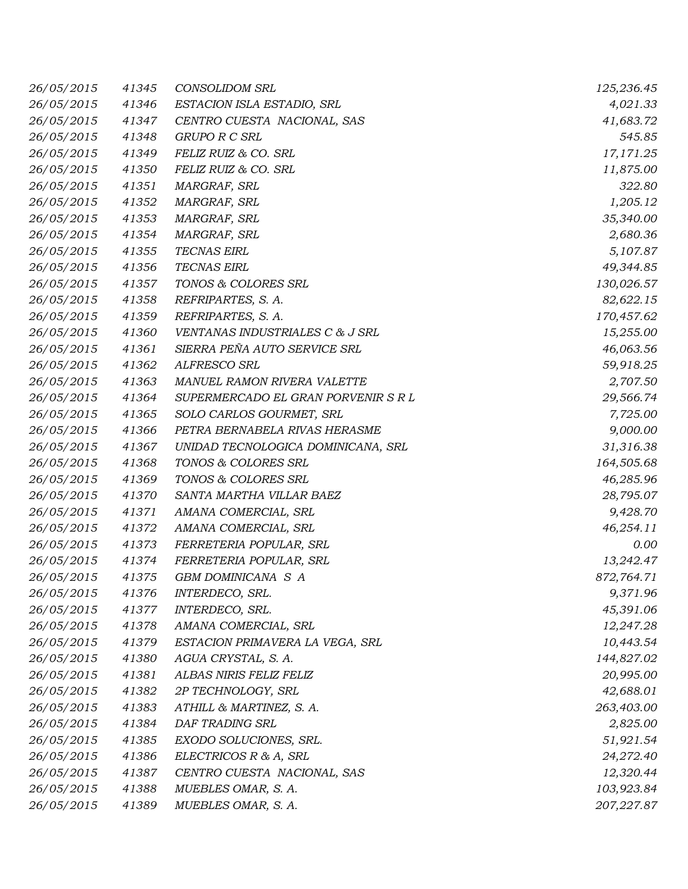| 26/05/2015 | 41345 | <b>CONSOLIDOM SRL</b>               | 125,236.45 |
|------------|-------|-------------------------------------|------------|
| 26/05/2015 | 41346 | ESTACION ISLA ESTADIO, SRL          | 4,021.33   |
| 26/05/2015 | 41347 | CENTRO CUESTA NACIONAL, SAS         | 41,683.72  |
| 26/05/2015 | 41348 | <b>GRUPO R C SRL</b>                | 545.85     |
| 26/05/2015 | 41349 | FELIZ RUIZ & CO. SRL                | 17,171.25  |
| 26/05/2015 | 41350 | FELIZ RUIZ & CO. SRL                | 11,875.00  |
| 26/05/2015 | 41351 | MARGRAF, SRL                        | 322.80     |
| 26/05/2015 | 41352 | MARGRAF, SRL                        | 1,205.12   |
| 26/05/2015 | 41353 | MARGRAF, SRL                        | 35,340.00  |
| 26/05/2015 | 41354 | MARGRAF, SRL                        | 2,680.36   |
| 26/05/2015 | 41355 | TECNAS EIRL                         | 5,107.87   |
| 26/05/2015 | 41356 | TECNAS EIRL                         | 49,344.85  |
| 26/05/2015 | 41357 | TONOS & COLORES SRL                 | 130,026.57 |
| 26/05/2015 | 41358 | REFRIPARTES, S. A.                  | 82,622.15  |
| 26/05/2015 | 41359 | REFRIPARTES, S. A.                  | 170,457.62 |
| 26/05/2015 | 41360 | VENTANAS INDUSTRIALES C & J SRL     | 15,255.00  |
| 26/05/2015 | 41361 | SIERRA PEÑA AUTO SERVICE SRL        | 46,063.56  |
| 26/05/2015 | 41362 | ALFRESCO SRL                        | 59,918.25  |
| 26/05/2015 | 41363 | MANUEL RAMON RIVERA VALETTE         | 2,707.50   |
| 26/05/2015 | 41364 | SUPERMERCADO EL GRAN PORVENIR S R L | 29,566.74  |
| 26/05/2015 | 41365 | SOLO CARLOS GOURMET, SRL            | 7,725.00   |
| 26/05/2015 | 41366 | PETRA BERNABELA RIVAS HERASME       | 9,000.00   |
| 26/05/2015 | 41367 | UNIDAD TECNOLOGICA DOMINICANA, SRL  | 31,316.38  |
| 26/05/2015 | 41368 | TONOS & COLORES SRL                 | 164,505.68 |
| 26/05/2015 | 41369 | TONOS & COLORES SRL                 | 46,285.96  |
| 26/05/2015 | 41370 | SANTA MARTHA VILLAR BAEZ            | 28,795.07  |
| 26/05/2015 | 41371 | AMANA COMERCIAL, SRL                | 9,428.70   |
| 26/05/2015 | 41372 | AMANA COMERCIAL, SRL                | 46,254.11  |
| 26/05/2015 | 41373 | FERRETERIA POPULAR, SRL             | 0.00       |
| 26/05/2015 | 41374 | FERRETERIA POPULAR, SRL             | 13,242.47  |
| 26/05/2015 | 41375 | GBM DOMINICANA S A                  | 872,764.71 |
| 26/05/2015 | 41376 | INTERDECO, SRL.                     | 9,371.96   |
| 26/05/2015 | 41377 | INTERDECO, SRL.                     | 45,391.06  |
| 26/05/2015 | 41378 | AMANA COMERCIAL, SRL                | 12,247.28  |
| 26/05/2015 | 41379 | ESTACION PRIMAVERA LA VEGA, SRL     | 10,443.54  |
| 26/05/2015 | 41380 | AGUA CRYSTAL, S. A.                 | 144,827.02 |
| 26/05/2015 | 41381 | ALBAS NIRIS FELIZ FELIZ             | 20,995.00  |
| 26/05/2015 | 41382 | 2P TECHNOLOGY, SRL                  | 42,688.01  |
| 26/05/2015 | 41383 | ATHILL & MARTINEZ, S. A.            | 263,403.00 |
| 26/05/2015 | 41384 | DAF TRADING SRL                     | 2,825.00   |
| 26/05/2015 | 41385 | EXODO SOLUCIONES, SRL.              | 51,921.54  |
| 26/05/2015 | 41386 | ELECTRICOS R & A, SRL               | 24,272.40  |
| 26/05/2015 | 41387 | CENTRO CUESTA NACIONAL, SAS         | 12,320.44  |
| 26/05/2015 | 41388 | MUEBLES OMAR, S. A.                 | 103,923.84 |
| 26/05/2015 | 41389 | MUEBLES OMAR, S. A.                 | 207,227.87 |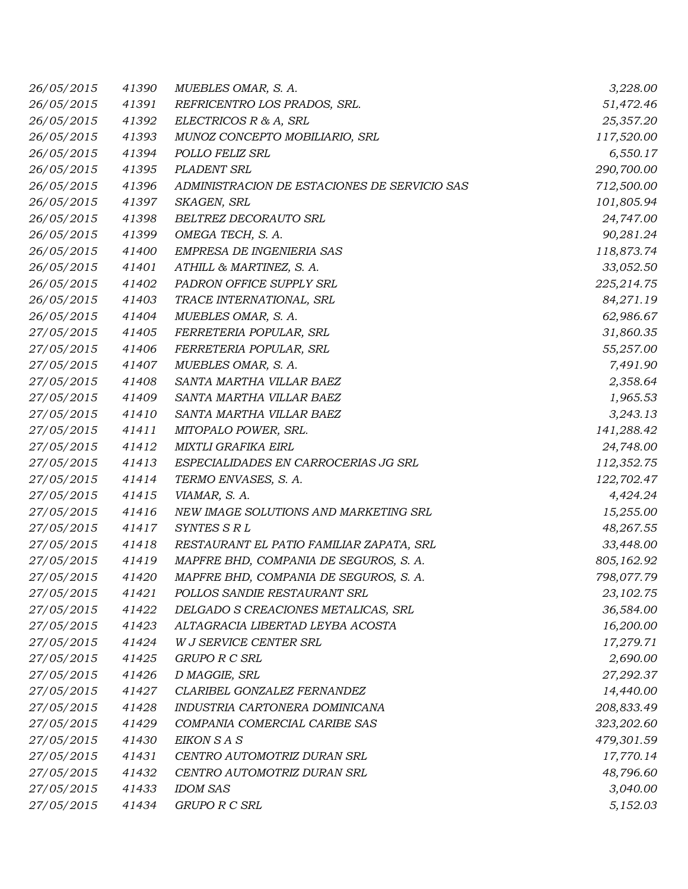| 26/05/2015 | 41390 | MUEBLES OMAR, S. A.                          | 3,228.00   |
|------------|-------|----------------------------------------------|------------|
| 26/05/2015 | 41391 | REFRICENTRO LOS PRADOS, SRL.                 | 51,472.46  |
| 26/05/2015 | 41392 | ELECTRICOS R & A, SRL                        | 25,357.20  |
| 26/05/2015 | 41393 | MUNOZ CONCEPTO MOBILIARIO, SRL               | 117,520.00 |
| 26/05/2015 | 41394 | POLLO FELIZ SRL                              | 6,550.17   |
| 26/05/2015 | 41395 | PLADENT SRL                                  | 290,700.00 |
| 26/05/2015 | 41396 | ADMINISTRACION DE ESTACIONES DE SERVICIO SAS | 712,500.00 |
| 26/05/2015 | 41397 | SKAGEN, SRL                                  | 101,805.94 |
| 26/05/2015 | 41398 | BELTREZ DECORAUTO SRL                        | 24,747.00  |
| 26/05/2015 | 41399 | OMEGA TECH, S. A.                            | 90,281.24  |
| 26/05/2015 | 41400 | EMPRESA DE INGENIERIA SAS                    | 118,873.74 |
| 26/05/2015 | 41401 | ATHILL & MARTINEZ, S. A.                     | 33,052.50  |
| 26/05/2015 | 41402 | PADRON OFFICE SUPPLY SRL                     | 225,214.75 |
| 26/05/2015 | 41403 | TRACE INTERNATIONAL, SRL                     | 84,271.19  |
| 26/05/2015 | 41404 | MUEBLES OMAR, S. A.                          | 62,986.67  |
| 27/05/2015 | 41405 | FERRETERIA POPULAR, SRL                      | 31,860.35  |
| 27/05/2015 | 41406 | FERRETERIA POPULAR, SRL                      | 55,257.00  |
| 27/05/2015 | 41407 | MUEBLES OMAR, S. A.                          | 7,491.90   |
| 27/05/2015 | 41408 | SANTA MARTHA VILLAR BAEZ                     | 2,358.64   |
| 27/05/2015 | 41409 | SANTA MARTHA VILLAR BAEZ                     | 1,965.53   |
| 27/05/2015 | 41410 | SANTA MARTHA VILLAR BAEZ                     | 3,243.13   |
| 27/05/2015 | 41411 | MITOPALO POWER, SRL.                         | 141,288.42 |
| 27/05/2015 | 41412 | <b>MIXTLI GRAFIKA EIRL</b>                   | 24,748.00  |
| 27/05/2015 | 41413 | ESPECIALIDADES EN CARROCERIAS JG SRL         | 112,352.75 |
| 27/05/2015 | 41414 | TERMO ENVASES, S. A.                         | 122,702.47 |
| 27/05/2015 | 41415 | VIAMAR, S. A.                                | 4,424.24   |
| 27/05/2015 | 41416 | NEW IMAGE SOLUTIONS AND MARKETING SRL        | 15,255.00  |
| 27/05/2015 | 41417 | SYNTES S R L                                 | 48,267.55  |
| 27/05/2015 | 41418 | RESTAURANT EL PATIO FAMILIAR ZAPATA, SRL     | 33,448.00  |
| 27/05/2015 | 41419 | MAPFRE BHD, COMPANIA DE SEGUROS, S. A.       | 805,162.92 |
| 27/05/2015 | 41420 | MAPFRE BHD, COMPANIA DE SEGUROS, S. A.       | 798,077.79 |
| 27/05/2015 | 41421 | POLLOS SANDIE RESTAURANT SRL                 | 23, 102.75 |
| 27/05/2015 | 41422 | DELGADO S CREACIONES METALICAS, SRL          | 36,584.00  |
| 27/05/2015 | 41423 | ALTAGRACIA LIBERTAD LEYBA ACOSTA             | 16,200.00  |
| 27/05/2015 | 41424 | W J SERVICE CENTER SRL                       | 17,279.71  |
| 27/05/2015 | 41425 | <b>GRUPO R C SRL</b>                         | 2,690.00   |
| 27/05/2015 | 41426 | D MAGGIE, SRL                                | 27,292.37  |
| 27/05/2015 | 41427 | CLARIBEL GONZALEZ FERNANDEZ                  | 14,440.00  |
| 27/05/2015 | 41428 | INDUSTRIA CARTONERA DOMINICANA               | 208,833.49 |
| 27/05/2015 | 41429 | COMPANIA COMERCIAL CARIBE SAS                | 323,202.60 |
| 27/05/2015 | 41430 | EIKON SAS                                    | 479,301.59 |
| 27/05/2015 | 41431 | CENTRO AUTOMOTRIZ DURAN SRL                  | 17,770.14  |
| 27/05/2015 | 41432 | CENTRO AUTOMOTRIZ DURAN SRL                  | 48,796.60  |
| 27/05/2015 | 41433 | <b>IDOM SAS</b>                              | 3,040.00   |
| 27/05/2015 | 41434 | GRUPO R C SRL                                | 5,152.03   |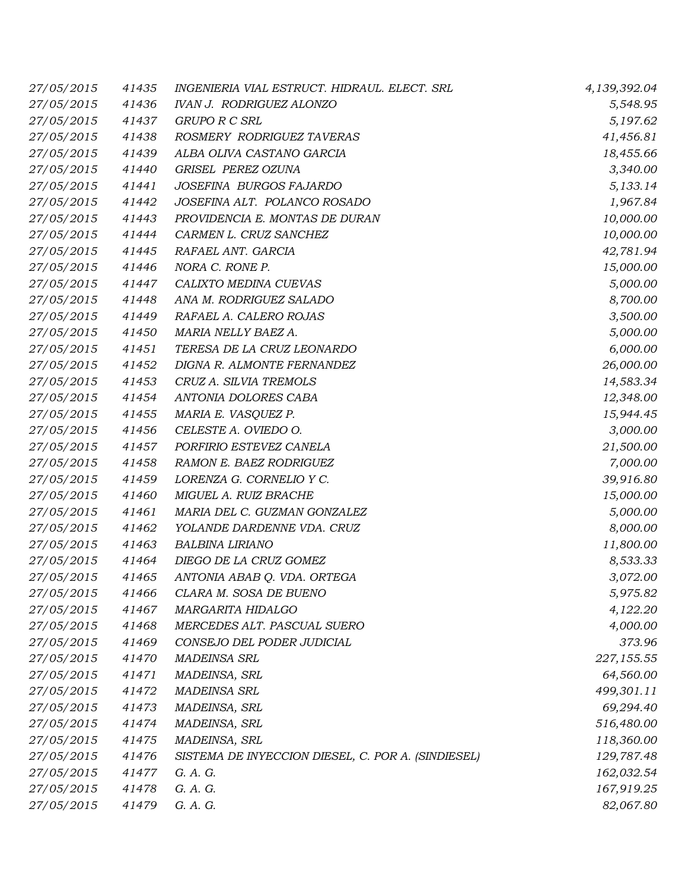| 27/05/2015 | 41435 | INGENIERIA VIAL ESTRUCT. HIDRAUL. ELECT. SRL       | 4,139,392.04 |
|------------|-------|----------------------------------------------------|--------------|
| 27/05/2015 | 41436 | <b>IVAN J. RODRIGUEZ ALONZO</b>                    | 5,548.95     |
| 27/05/2015 | 41437 | GRUPO R C SRL                                      | 5,197.62     |
| 27/05/2015 | 41438 | ROSMERY RODRIGUEZ TAVERAS                          | 41,456.81    |
| 27/05/2015 | 41439 | ALBA OLIVA CASTANO GARCIA                          | 18,455.66    |
| 27/05/2015 | 41440 | GRISEL PEREZ OZUNA                                 | 3,340.00     |
| 27/05/2015 | 41441 | JOSEFINA BURGOS FAJARDO                            | 5, 133. 14   |
| 27/05/2015 | 41442 | JOSEFINA ALT. POLANCO ROSADO                       | 1,967.84     |
| 27/05/2015 | 41443 | PROVIDENCIA E. MONTAS DE DURAN                     | 10,000.00    |
| 27/05/2015 | 41444 | CARMEN L. CRUZ SANCHEZ                             | 10,000.00    |
| 27/05/2015 | 41445 | RAFAEL ANT. GARCIA                                 | 42,781.94    |
| 27/05/2015 | 41446 | NORA C. RONE P.                                    | 15,000.00    |
| 27/05/2015 | 41447 | CALIXTO MEDINA CUEVAS                              | 5,000.00     |
| 27/05/2015 | 41448 | ANA M. RODRIGUEZ SALADO                            | 8,700.00     |
| 27/05/2015 | 41449 | RAFAEL A. CALERO ROJAS                             | 3,500.00     |
| 27/05/2015 | 41450 | MARIA NELLY BAEZ A.                                | 5,000.00     |
| 27/05/2015 | 41451 | TERESA DE LA CRUZ LEONARDO                         | 6,000.00     |
| 27/05/2015 | 41452 | DIGNA R. ALMONTE FERNANDEZ                         | 26,000.00    |
| 27/05/2015 | 41453 | CRUZ A. SILVIA TREMOLS                             | 14,583.34    |
| 27/05/2015 | 41454 | ANTONIA DOLORES CABA                               | 12,348.00    |
| 27/05/2015 | 41455 | MARIA E. VASQUEZ P.                                | 15,944.45    |
| 27/05/2015 | 41456 | CELESTE A. OVIEDO O.                               | 3,000.00     |
| 27/05/2015 | 41457 | PORFIRIO ESTEVEZ CANELA                            | 21,500.00    |
| 27/05/2015 | 41458 | RAMON E. BAEZ RODRIGUEZ                            | 7,000.00     |
| 27/05/2015 | 41459 | LORENZA G. CORNELIO Y C.                           | 39,916.80    |
| 27/05/2015 | 41460 | MIGUEL A. RUIZ BRACHE                              | 15,000.00    |
| 27/05/2015 | 41461 | MARIA DEL C. GUZMAN GONZALEZ                       | 5,000.00     |
| 27/05/2015 | 41462 | YOLANDE DARDENNE VDA. CRUZ                         | 8,000.00     |
| 27/05/2015 | 41463 | <b>BALBINA LIRIANO</b>                             | 11,800.00    |
| 27/05/2015 | 41464 | DIEGO DE LA CRUZ GOMEZ                             | 8,533.33     |
| 27/05/2015 | 41465 | ANTONIA ABAB Q. VDA. ORTEGA                        | 3,072.00     |
| 27/05/2015 | 41466 | CLARA M. SOSA DE BUENO                             | 5,975.82     |
| 27/05/2015 | 41467 | MARGARITA HIDALGO                                  | 4,122.20     |
| 27/05/2015 | 41468 | MERCEDES ALT. PASCUAL SUERO                        | 4,000.00     |
| 27/05/2015 | 41469 | CONSEJO DEL PODER JUDICIAL                         | 373.96       |
| 27/05/2015 | 41470 | <b>MADEINSA SRL</b>                                | 227,155.55   |
| 27/05/2015 | 41471 | MADEINSA, SRL                                      | 64,560.00    |
| 27/05/2015 | 41472 | MADEINSA SRL                                       | 499,301.11   |
| 27/05/2015 | 41473 | MADEINSA, SRL                                      | 69,294.40    |
| 27/05/2015 | 41474 | MADEINSA, SRL                                      | 516,480.00   |
| 27/05/2015 | 41475 | MADEINSA, SRL                                      | 118,360.00   |
| 27/05/2015 | 41476 | SISTEMA DE INYECCION DIESEL, C. POR A. (SINDIESEL) | 129,787.48   |
| 27/05/2015 | 41477 | G. A. G.                                           | 162,032.54   |
| 27/05/2015 | 41478 | G. A. G.                                           | 167,919.25   |
| 27/05/2015 | 41479 | G. A. G.                                           | 82,067.80    |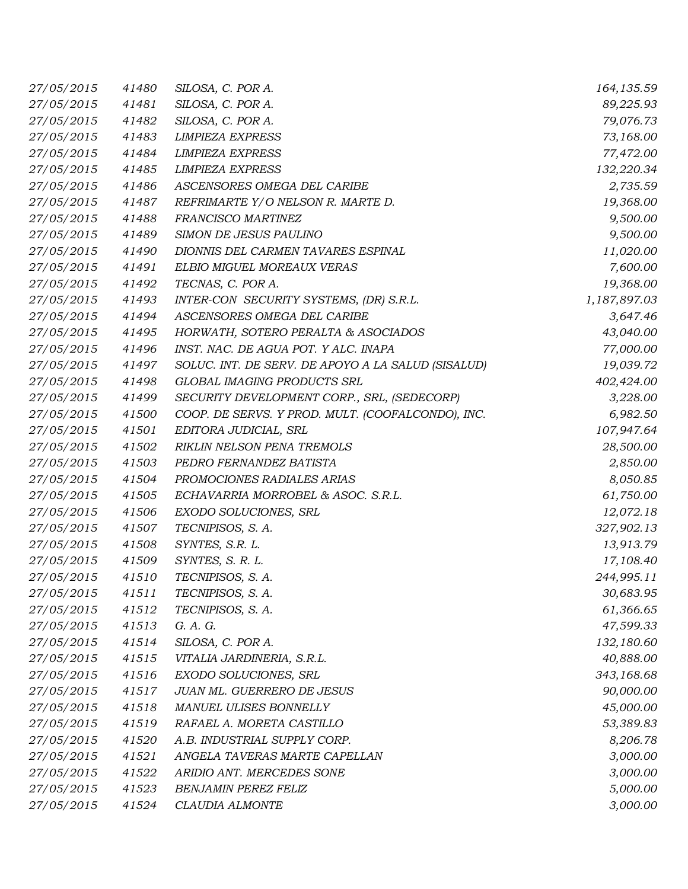| 27/05/2015 | 41480 | SILOSA, C. POR A.                                  | 164,135.59   |
|------------|-------|----------------------------------------------------|--------------|
| 27/05/2015 | 41481 | SILOSA, C. POR A.                                  | 89,225.93    |
| 27/05/2015 | 41482 | SILOSA, C. POR A.                                  | 79,076.73    |
| 27/05/2015 | 41483 | <b>LIMPIEZA EXPRESS</b>                            | 73,168.00    |
| 27/05/2015 | 41484 | <b>LIMPIEZA EXPRESS</b>                            | 77,472.00    |
| 27/05/2015 | 41485 | <b>LIMPIEZA EXPRESS</b>                            | 132,220.34   |
| 27/05/2015 | 41486 | ASCENSORES OMEGA DEL CARIBE                        | 2,735.59     |
| 27/05/2015 | 41487 | REFRIMARTE Y/O NELSON R. MARTE D.                  | 19,368.00    |
| 27/05/2015 | 41488 | FRANCISCO MARTINEZ                                 | 9,500.00     |
| 27/05/2015 | 41489 | SIMON DE JESUS PAULINO                             | 9,500.00     |
| 27/05/2015 | 41490 | DIONNIS DEL CARMEN TAVARES ESPINAL                 | 11,020.00    |
| 27/05/2015 | 41491 | ELBIO MIGUEL MOREAUX VERAS                         | 7,600.00     |
| 27/05/2015 | 41492 | TECNAS, C. POR A.                                  | 19,368.00    |
| 27/05/2015 | 41493 | INTER-CON SECURITY SYSTEMS, (DR) S.R.L.            | 1,187,897.03 |
| 27/05/2015 | 41494 | ASCENSORES OMEGA DEL CARIBE                        | 3,647.46     |
| 27/05/2015 | 41495 | HORWATH, SOTERO PERALTA & ASOCIADOS                | 43,040.00    |
| 27/05/2015 | 41496 | INST. NAC. DE AGUA POT. Y ALC. INAPA               | 77,000.00    |
| 27/05/2015 | 41497 | SOLUC. INT. DE SERV. DE APOYO A LA SALUD (SISALUD) | 19,039.72    |
| 27/05/2015 | 41498 | GLOBAL IMAGING PRODUCTS SRL                        | 402,424.00   |
| 27/05/2015 | 41499 | SECURITY DEVELOPMENT CORP., SRL, (SEDECORP)        | 3,228.00     |
| 27/05/2015 | 41500 | COOP. DE SERVS. Y PROD. MULT. (COOFALCONDO), INC.  | 6,982.50     |
| 27/05/2015 | 41501 | EDITORA JUDICIAL, SRL                              | 107,947.64   |
| 27/05/2015 | 41502 | RIKLIN NELSON PENA TREMOLS                         | 28,500.00    |
| 27/05/2015 | 41503 | PEDRO FERNANDEZ BATISTA                            | 2,850.00     |
| 27/05/2015 | 41504 | PROMOCIONES RADIALES ARIAS                         | 8,050.85     |
| 27/05/2015 | 41505 | ECHAVARRIA MORROBEL & ASOC. S.R.L.                 | 61,750.00    |
| 27/05/2015 | 41506 | EXODO SOLUCIONES, SRL                              | 12,072.18    |
| 27/05/2015 | 41507 | TECNIPISOS, S. A.                                  | 327,902.13   |
| 27/05/2015 | 41508 | SYNTES, S.R. L.                                    | 13,913.79    |
| 27/05/2015 | 41509 | SYNTES, S. R. L.                                   | 17,108.40    |
| 27/05/2015 | 41510 | TECNIPISOS, S. A.                                  | 244,995.11   |
| 27/05/2015 | 41511 | TECNIPISOS, S. A.                                  | 30,683.95    |
| 27/05/2015 | 41512 | TECNIPISOS, S. A.                                  | 61,366.65    |
| 27/05/2015 | 41513 | G. A. G.                                           | 47,599.33    |
| 27/05/2015 | 41514 | SILOSA, C. POR A.                                  | 132,180.60   |
| 27/05/2015 | 41515 | VITALIA JARDINERIA, S.R.L.                         | 40,888.00    |
| 27/05/2015 | 41516 | EXODO SOLUCIONES, SRL                              | 343,168.68   |
| 27/05/2015 | 41517 | JUAN ML. GUERRERO DE JESUS                         | 90,000.00    |
| 27/05/2015 | 41518 | MANUEL ULISES BONNELLY                             | 45,000.00    |
| 27/05/2015 | 41519 | RAFAEL A. MORETA CASTILLO                          | 53,389.83    |
| 27/05/2015 | 41520 | A.B. INDUSTRIAL SUPPLY CORP.                       | 8,206.78     |
| 27/05/2015 | 41521 | ANGELA TAVERAS MARTE CAPELLAN                      | 3,000.00     |
| 27/05/2015 | 41522 | ARIDIO ANT. MERCEDES SONE                          | 3,000.00     |
| 27/05/2015 | 41523 | BENJAMIN PEREZ FELIZ                               | 5,000.00     |
| 27/05/2015 | 41524 | CLAUDIA ALMONTE                                    | 3,000.00     |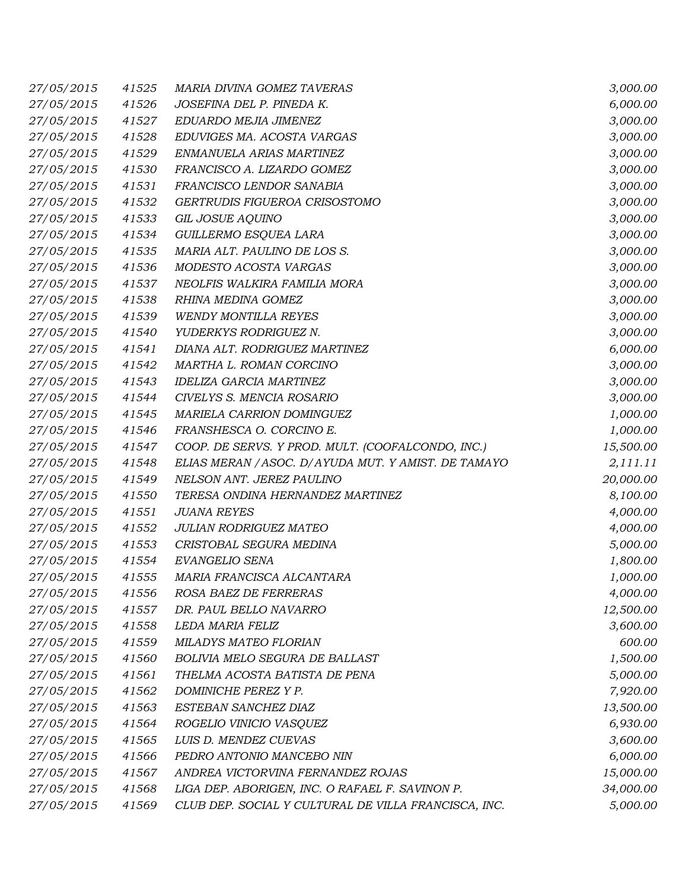| 27/05/2015 | 41525 | MARIA DIVINA GOMEZ TAVERAS                           | 3,000.00  |
|------------|-------|------------------------------------------------------|-----------|
| 27/05/2015 | 41526 | JOSEFINA DEL P. PINEDA K.                            | 6,000.00  |
| 27/05/2015 | 41527 | EDUARDO MEJIA JIMENEZ                                | 3,000.00  |
| 27/05/2015 | 41528 | EDUVIGES MA. ACOSTA VARGAS                           | 3,000.00  |
| 27/05/2015 | 41529 | ENMANUELA ARIAS MARTINEZ                             | 3,000.00  |
| 27/05/2015 | 41530 | FRANCISCO A. LIZARDO GOMEZ                           | 3,000.00  |
| 27/05/2015 | 41531 | FRANCISCO LENDOR SANABIA                             | 3,000.00  |
| 27/05/2015 | 41532 | GERTRUDIS FIGUEROA CRISOSTOMO                        | 3,000.00  |
| 27/05/2015 | 41533 | <b>GIL JOSUE AQUINO</b>                              | 3,000.00  |
| 27/05/2015 | 41534 | GUILLERMO ESQUEA LARA                                | 3,000.00  |
| 27/05/2015 | 41535 | MARIA ALT. PAULINO DE LOS S.                         | 3,000.00  |
| 27/05/2015 | 41536 | MODESTO ACOSTA VARGAS                                | 3,000.00  |
| 27/05/2015 | 41537 | NEOLFIS WALKIRA FAMILIA MORA                         | 3,000.00  |
| 27/05/2015 | 41538 | RHINA MEDINA GOMEZ                                   | 3,000.00  |
| 27/05/2015 | 41539 | <b>WENDY MONTILLA REYES</b>                          | 3,000.00  |
| 27/05/2015 | 41540 | YUDERKYS RODRIGUEZ N.                                | 3,000.00  |
| 27/05/2015 | 41541 | DIANA ALT. RODRIGUEZ MARTINEZ                        | 6,000.00  |
| 27/05/2015 | 41542 | MARTHA L. ROMAN CORCINO                              | 3,000.00  |
| 27/05/2015 | 41543 | <b>IDELIZA GARCIA MARTINEZ</b>                       | 3,000.00  |
| 27/05/2015 | 41544 | CIVELYS S. MENCIA ROSARIO                            | 3,000.00  |
| 27/05/2015 | 41545 | MARIELA CARRION DOMINGUEZ                            | 1,000.00  |
| 27/05/2015 | 41546 | FRANSHESCA O. CORCINO E.                             | 1,000.00  |
| 27/05/2015 | 41547 | COOP. DE SERVS. Y PROD. MULT. (COOFALCONDO, INC.)    | 15,500.00 |
| 27/05/2015 | 41548 | ELIAS MERAN / ASOC. D/ AYUDA MUT. Y AMIST. DE TAMAYO | 2,111.11  |
| 27/05/2015 | 41549 | NELSON ANT. JEREZ PAULINO                            | 20,000.00 |
| 27/05/2015 | 41550 | TERESA ONDINA HERNANDEZ MARTINEZ                     | 8,100.00  |
| 27/05/2015 | 41551 | <b>JUANA REYES</b>                                   | 4,000.00  |
| 27/05/2015 | 41552 | JULIAN RODRIGUEZ MATEO                               | 4,000.00  |
| 27/05/2015 | 41553 | CRISTOBAL SEGURA MEDINA                              | 5,000.00  |
| 27/05/2015 | 41554 | EVANGELIO SENA                                       | 1,800.00  |
| 27/05/2015 | 41555 | MARIA FRANCISCA ALCANTARA                            | 1,000.00  |
| 27/05/2015 | 41556 | ROSA BAEZ DE FERRERAS                                | 4,000.00  |
| 27/05/2015 | 41557 | DR. PAUL BELLO NAVARRO                               | 12,500.00 |
| 27/05/2015 | 41558 | LEDA MARIA FELIZ                                     | 3,600.00  |
| 27/05/2015 | 41559 | MILADYS MATEO FLORIAN                                | 600.00    |
| 27/05/2015 | 41560 | BOLIVIA MELO SEGURA DE BALLAST                       | 1,500.00  |
| 27/05/2015 | 41561 | THELMA ACOSTA BATISTA DE PENA                        | 5,000.00  |
| 27/05/2015 | 41562 | DOMINICHE PEREZ Y P.                                 | 7,920.00  |
| 27/05/2015 | 41563 | ESTEBAN SANCHEZ DIAZ                                 | 13,500.00 |
| 27/05/2015 | 41564 | ROGELIO VINICIO VASQUEZ                              | 6,930.00  |
| 27/05/2015 | 41565 | LUIS D. MENDEZ CUEVAS                                | 3,600.00  |
| 27/05/2015 | 41566 | PEDRO ANTONIO MANCEBO NIN                            | 6,000.00  |
| 27/05/2015 | 41567 | ANDREA VICTORVINA FERNANDEZ ROJAS                    | 15,000.00 |
| 27/05/2015 | 41568 | LIGA DEP. ABORIGEN, INC. O RAFAEL F. SAVINON P.      | 34,000.00 |
| 27/05/2015 | 41569 | CLUB DEP. SOCIAL Y CULTURAL DE VILLA FRANCISCA, INC. | 5,000.00  |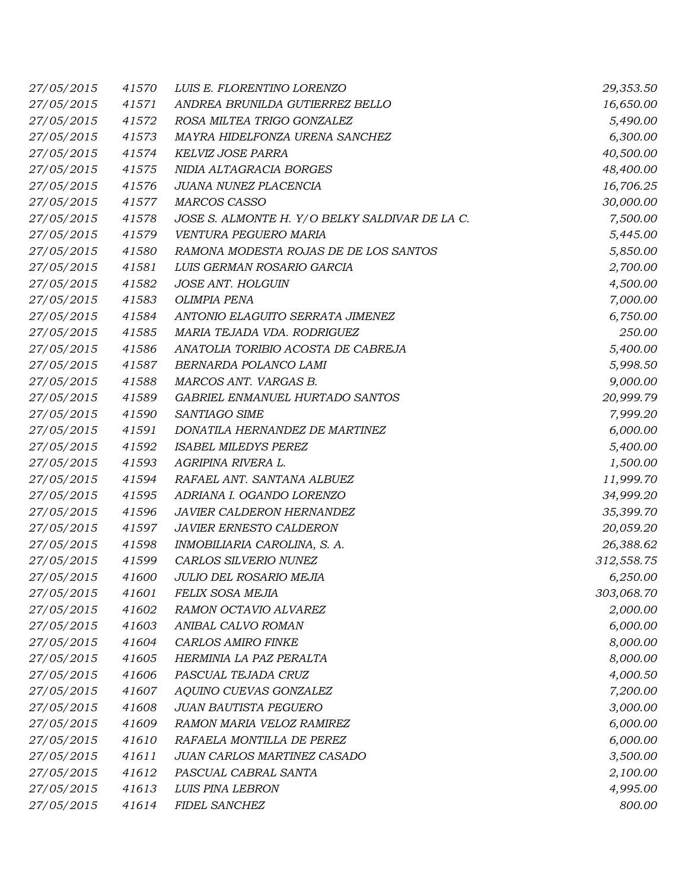| 27/05/2015 | 41570 | LUIS E. FLORENTINO LORENZO                     | 29,353.50  |
|------------|-------|------------------------------------------------|------------|
| 27/05/2015 | 41571 | ANDREA BRUNILDA GUTIERREZ BELLO                | 16,650.00  |
| 27/05/2015 | 41572 | ROSA MILTEA TRIGO GONZALEZ                     | 5,490.00   |
| 27/05/2015 | 41573 | MAYRA HIDELFONZA URENA SANCHEZ                 | 6,300.00   |
| 27/05/2015 | 41574 | <b>KELVIZ JOSE PARRA</b>                       | 40,500.00  |
| 27/05/2015 | 41575 | NIDIA ALTAGRACIA BORGES                        | 48,400.00  |
| 27/05/2015 | 41576 | JUANA NUNEZ PLACENCIA                          | 16,706.25  |
| 27/05/2015 | 41577 | <b>MARCOS CASSO</b>                            | 30,000.00  |
| 27/05/2015 | 41578 | JOSE S. ALMONTE H. Y/O BELKY SALDIVAR DE LA C. | 7,500.00   |
| 27/05/2015 | 41579 | VENTURA PEGUERO MARIA                          | 5,445.00   |
| 27/05/2015 | 41580 | RAMONA MODESTA ROJAS DE DE LOS SANTOS          | 5,850.00   |
| 27/05/2015 | 41581 | LUIS GERMAN ROSARIO GARCIA                     | 2,700.00   |
| 27/05/2015 | 41582 | JOSE ANT. HOLGUIN                              | 4,500.00   |
| 27/05/2015 | 41583 | <b>OLIMPIA PENA</b>                            | 7,000.00   |
| 27/05/2015 | 41584 | ANTONIO ELAGUITO SERRATA JIMENEZ               | 6,750.00   |
| 27/05/2015 | 41585 | MARIA TEJADA VDA. RODRIGUEZ                    | 250.00     |
| 27/05/2015 | 41586 | ANATOLIA TORIBIO ACOSTA DE CABREJA             | 5,400.00   |
| 27/05/2015 | 41587 | BERNARDA POLANCO LAMI                          | 5,998.50   |
| 27/05/2015 | 41588 | MARCOS ANT. VARGAS B.                          | 9,000.00   |
| 27/05/2015 | 41589 | GABRIEL ENMANUEL HURTADO SANTOS                | 20,999.79  |
| 27/05/2015 | 41590 | SANTIAGO SIME                                  | 7,999.20   |
| 27/05/2015 | 41591 | DONATILA HERNANDEZ DE MARTINEZ                 | 6,000.00   |
| 27/05/2015 | 41592 | <b>ISABEL MILEDYS PEREZ</b>                    | 5,400.00   |
| 27/05/2015 | 41593 | AGRIPINA RIVERA L.                             | 1,500.00   |
| 27/05/2015 | 41594 | RAFAEL ANT. SANTANA ALBUEZ                     | 11,999.70  |
| 27/05/2015 | 41595 | ADRIANA I. OGANDO LORENZO                      | 34,999.20  |
| 27/05/2015 | 41596 | JAVIER CALDERON HERNANDEZ                      | 35,399.70  |
| 27/05/2015 | 41597 | JAVIER ERNESTO CALDERON                        | 20,059.20  |
| 27/05/2015 | 41598 | INMOBILIARIA CAROLINA, S. A.                   | 26,388.62  |
| 27/05/2015 | 41599 | CARLOS SILVERIO NUNEZ                          | 312,558.75 |
| 27/05/2015 | 41600 | JULIO DEL ROSARIO MEJIA                        | 6,250.00   |
| 27/05/2015 | 41601 | FELIX SOSA MEJIA                               | 303,068.70 |
| 27/05/2015 | 41602 | RAMON OCTAVIO ALVAREZ                          | 2,000.00   |
| 27/05/2015 | 41603 | ANIBAL CALVO ROMAN                             | 6,000.00   |
| 27/05/2015 | 41604 | CARLOS AMIRO FINKE                             | 8,000.00   |
| 27/05/2015 | 41605 | HERMINIA LA PAZ PERALTA                        | 8,000.00   |
| 27/05/2015 | 41606 | PASCUAL TEJADA CRUZ                            | 4,000.50   |
| 27/05/2015 | 41607 | AQUINO CUEVAS GONZALEZ                         | 7,200.00   |
| 27/05/2015 | 41608 | <b>JUAN BAUTISTA PEGUERO</b>                   | 3,000.00   |
| 27/05/2015 | 41609 | RAMON MARIA VELOZ RAMIREZ                      | 6,000.00   |
| 27/05/2015 | 41610 | RAFAELA MONTILLA DE PEREZ                      | 6,000.00   |
| 27/05/2015 | 41611 | JUAN CARLOS MARTINEZ CASADO                    | 3,500.00   |
| 27/05/2015 | 41612 | PASCUAL CABRAL SANTA                           | 2,100.00   |
| 27/05/2015 | 41613 | LUIS PINA LEBRON                               | 4,995.00   |
| 27/05/2015 | 41614 | FIDEL SANCHEZ                                  | 800.00     |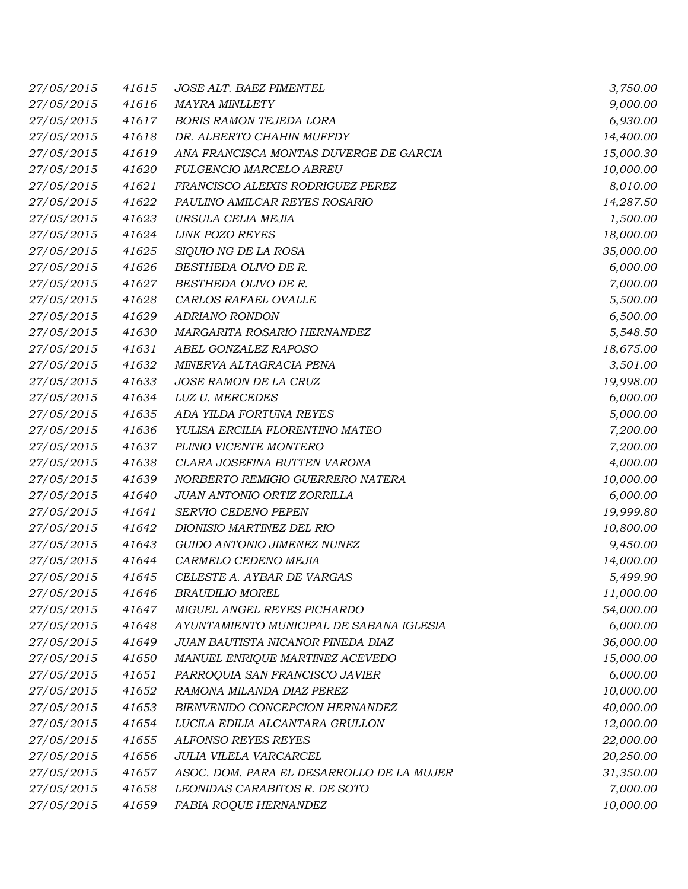| 27/05/2015 | 41615 | JOSE ALT. BAEZ PIMENTEL                   | 3,750.00  |
|------------|-------|-------------------------------------------|-----------|
| 27/05/2015 | 41616 | <b>MAYRA MINLLETY</b>                     | 9,000.00  |
| 27/05/2015 | 41617 | <b>BORIS RAMON TEJEDA LORA</b>            | 6,930.00  |
| 27/05/2015 | 41618 | DR. ALBERTO CHAHIN MUFFDY                 | 14,400.00 |
| 27/05/2015 | 41619 | ANA FRANCISCA MONTAS DUVERGE DE GARCIA    | 15,000.30 |
| 27/05/2015 | 41620 | FULGENCIO MARCELO ABREU                   | 10,000.00 |
| 27/05/2015 | 41621 | FRANCISCO ALEIXIS RODRIGUEZ PEREZ         | 8,010.00  |
| 27/05/2015 | 41622 | PAULINO AMILCAR REYES ROSARIO             | 14,287.50 |
| 27/05/2015 | 41623 | URSULA CELIA MEJIA                        | 1,500.00  |
| 27/05/2015 | 41624 | <b>LINK POZO REYES</b>                    | 18,000.00 |
| 27/05/2015 | 41625 | SIQUIO NG DE LA ROSA                      | 35,000.00 |
| 27/05/2015 | 41626 | BESTHEDA OLIVO DE R.                      | 6,000.00  |
| 27/05/2015 | 41627 | BESTHEDA OLIVO DE R.                      | 7,000.00  |
| 27/05/2015 | 41628 | CARLOS RAFAEL OVALLE                      | 5,500.00  |
| 27/05/2015 | 41629 | <b>ADRIANO RONDON</b>                     | 6,500.00  |
| 27/05/2015 | 41630 | MARGARITA ROSARIO HERNANDEZ               | 5,548.50  |
| 27/05/2015 | 41631 | ABEL GONZALEZ RAPOSO                      | 18,675.00 |
| 27/05/2015 | 41632 | MINERVA ALTAGRACIA PENA                   | 3,501.00  |
| 27/05/2015 | 41633 | JOSE RAMON DE LA CRUZ                     | 19,998.00 |
| 27/05/2015 | 41634 | <b>LUZ U. MERCEDES</b>                    | 6,000.00  |
| 27/05/2015 | 41635 | ADA YILDA FORTUNA REYES                   | 5,000.00  |
| 27/05/2015 | 41636 | YULISA ERCILIA FLORENTINO MATEO           | 7,200.00  |
| 27/05/2015 | 41637 | PLINIO VICENTE MONTERO                    | 7,200.00  |
| 27/05/2015 | 41638 | CLARA JOSEFINA BUTTEN VARONA              | 4,000.00  |
| 27/05/2015 | 41639 | NORBERTO REMIGIO GUERRERO NATERA          | 10,000.00 |
| 27/05/2015 | 41640 | <b>JUAN ANTONIO ORTIZ ZORRILLA</b>        | 6,000.00  |
| 27/05/2015 | 41641 | SERVIO CEDENO PEPEN                       | 19,999.80 |
| 27/05/2015 | 41642 | DIONISIO MARTINEZ DEL RIO                 | 10,800.00 |
| 27/05/2015 | 41643 | GUIDO ANTONIO JIMENEZ NUNEZ               | 9,450.00  |
| 27/05/2015 | 41644 | CARMELO CEDENO MEJIA                      | 14,000.00 |
| 27/05/2015 | 41645 | CELESTE A. AYBAR DE VARGAS                | 5,499.90  |
| 27/05/2015 | 41646 | <b>BRAUDILIO MOREL</b>                    | 11,000.00 |
| 27/05/2015 | 41647 | MIGUEL ANGEL REYES PICHARDO               | 54,000.00 |
| 27/05/2015 | 41648 | AYUNTAMIENTO MUNICIPAL DE SABANA IGLESIA  | 6,000.00  |
| 27/05/2015 | 41649 | JUAN BAUTISTA NICANOR PINEDA DIAZ         | 36,000.00 |
| 27/05/2015 | 41650 | MANUEL ENRIQUE MARTINEZ ACEVEDO           | 15,000.00 |
| 27/05/2015 | 41651 | PARROQUIA SAN FRANCISCO JAVIER            | 6,000.00  |
| 27/05/2015 | 41652 | RAMONA MILANDA DIAZ PEREZ                 | 10,000.00 |
| 27/05/2015 | 41653 | BIENVENIDO CONCEPCION HERNANDEZ           | 40,000.00 |
| 27/05/2015 | 41654 | LUCILA EDILIA ALCANTARA GRULLON           | 12,000.00 |
| 27/05/2015 | 41655 | <b>ALFONSO REYES REYES</b>                | 22,000.00 |
| 27/05/2015 | 41656 | JULIA VILELA VARCARCEL                    | 20,250.00 |
| 27/05/2015 | 41657 | ASOC. DOM. PARA EL DESARROLLO DE LA MUJER | 31,350.00 |
| 27/05/2015 | 41658 | LEONIDAS CARABITOS R. DE SOTO             | 7,000.00  |
| 27/05/2015 | 41659 | FABIA ROQUE HERNANDEZ                     | 10,000.00 |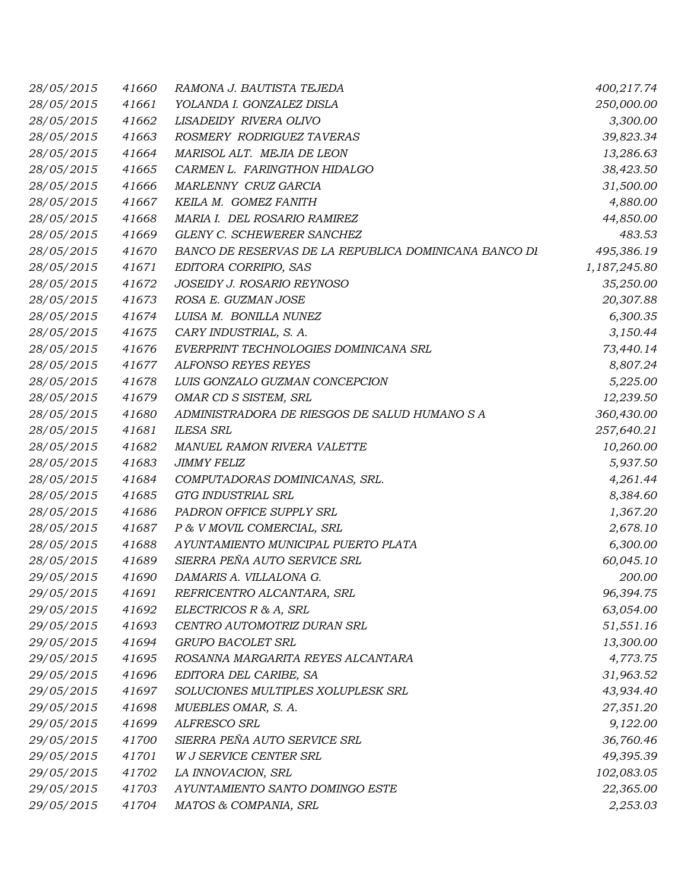| 28/05/2015 | 41660 | RAMONA J. BAUTISTA TEJEDA                             | 400,217.74   |
|------------|-------|-------------------------------------------------------|--------------|
| 28/05/2015 | 41661 | YOLANDA I. GONZALEZ DISLA                             | 250,000.00   |
| 28/05/2015 | 41662 | LISADEIDY RIVERA OLIVO                                | 3,300.00     |
| 28/05/2015 | 41663 | ROSMERY RODRIGUEZ TAVERAS                             | 39,823.34    |
| 28/05/2015 | 41664 | MARISOL ALT. MEJIA DE LEON                            | 13,286.63    |
| 28/05/2015 | 41665 | CARMEN L. FARINGTHON HIDALGO                          | 38,423.50    |
| 28/05/2015 | 41666 | MARLENNY CRUZ GARCIA                                  | 31,500.00    |
| 28/05/2015 | 41667 | KEILA M. GOMEZ FANITH                                 | 4,880.00     |
| 28/05/2015 | 41668 | MARIA I. DEL ROSARIO RAMIREZ                          | 44,850.00    |
| 28/05/2015 | 41669 | GLENY C. SCHEWERER SANCHEZ                            | 483.53       |
| 28/05/2015 | 41670 | BANCO DE RESERVAS DE LA REPUBLICA DOMINICANA BANCO DI | 495,386.19   |
| 28/05/2015 | 41671 | EDITORA CORRIPIO, SAS                                 | 1,187,245.80 |
| 28/05/2015 | 41672 | JOSEIDY J. ROSARIO REYNOSO                            | 35,250.00    |
| 28/05/2015 | 41673 | ROSA E. GUZMAN JOSE                                   | 20,307.88    |
| 28/05/2015 | 41674 | LUISA M. BONILLA NUNEZ                                | 6,300.35     |
| 28/05/2015 | 41675 | CARY INDUSTRIAL, S. A.                                | 3,150.44     |
| 28/05/2015 | 41676 | EVERPRINT TECHNOLOGIES DOMINICANA SRL                 | 73,440.14    |
| 28/05/2015 | 41677 | <b>ALFONSO REYES REYES</b>                            | 8,807.24     |
| 28/05/2015 | 41678 | LUIS GONZALO GUZMAN CONCEPCION                        | 5,225.00     |
| 28/05/2015 | 41679 | OMAR CD S SISTEM, SRL                                 | 12,239.50    |
| 28/05/2015 | 41680 | ADMINISTRADORA DE RIESGOS DE SALUD HUMANO S A         | 360,430.00   |
| 28/05/2015 | 41681 | <b>ILESA SRL</b>                                      | 257,640.21   |
| 28/05/2015 | 41682 | MANUEL RAMON RIVERA VALETTE                           | 10,260.00    |
| 28/05/2015 | 41683 | <b>JIMMY FELIZ</b>                                    | 5,937.50     |
| 28/05/2015 | 41684 | COMPUTADORAS DOMINICANAS, SRL.                        | 4,261.44     |
| 28/05/2015 | 41685 | GTG INDUSTRIAL SRL                                    | 8,384.60     |
| 28/05/2015 | 41686 | PADRON OFFICE SUPPLY SRL                              | 1,367.20     |
| 28/05/2015 | 41687 | P & V MOVIL COMERCIAL, SRL                            | 2,678.10     |
| 28/05/2015 | 41688 | AYUNTAMIENTO MUNICIPAL PUERTO PLATA                   | 6,300.00     |
| 28/05/2015 | 41689 | SIERRA PEÑA AUTO SERVICE SRL                          | 60,045.10    |
| 29/05/2015 | 41690 | DAMARIS A. VILLALONA G.                               | 200.00       |
| 29/05/2015 | 41691 | REFRICENTRO ALCANTARA, SRL                            | 96,394.75    |
| 29/05/2015 | 41692 | ELECTRICOS R & A, SRL                                 | 63,054.00    |
| 29/05/2015 | 41693 | CENTRO AUTOMOTRIZ DURAN SRL                           | 51,551.16    |
| 29/05/2015 | 41694 | GRUPO BACOLET SRL                                     | 13,300.00    |
| 29/05/2015 | 41695 | ROSANNA MARGARITA REYES ALCANTARA                     | 4,773.75     |
| 29/05/2015 | 41696 | EDITORA DEL CARIBE, SA                                | 31,963.52    |
| 29/05/2015 | 41697 | SOLUCIONES MULTIPLES XOLUPLESK SRL                    | 43,934.40    |
| 29/05/2015 | 41698 | MUEBLES OMAR, S. A.                                   | 27,351.20    |
| 29/05/2015 | 41699 | ALFRESCO SRL                                          | 9,122.00     |
| 29/05/2015 | 41700 | SIERRA PEÑA AUTO SERVICE SRL                          | 36,760.46    |
| 29/05/2015 | 41701 | W J SERVICE CENTER SRL                                | 49,395.39    |
| 29/05/2015 | 41702 | LA INNOVACION, SRL                                    | 102,083.05   |
| 29/05/2015 | 41703 | AYUNTAMIENTO SANTO DOMINGO ESTE                       | 22,365.00    |
| 29/05/2015 | 41704 | MATOS & COMPANIA, SRL                                 | 2,253.03     |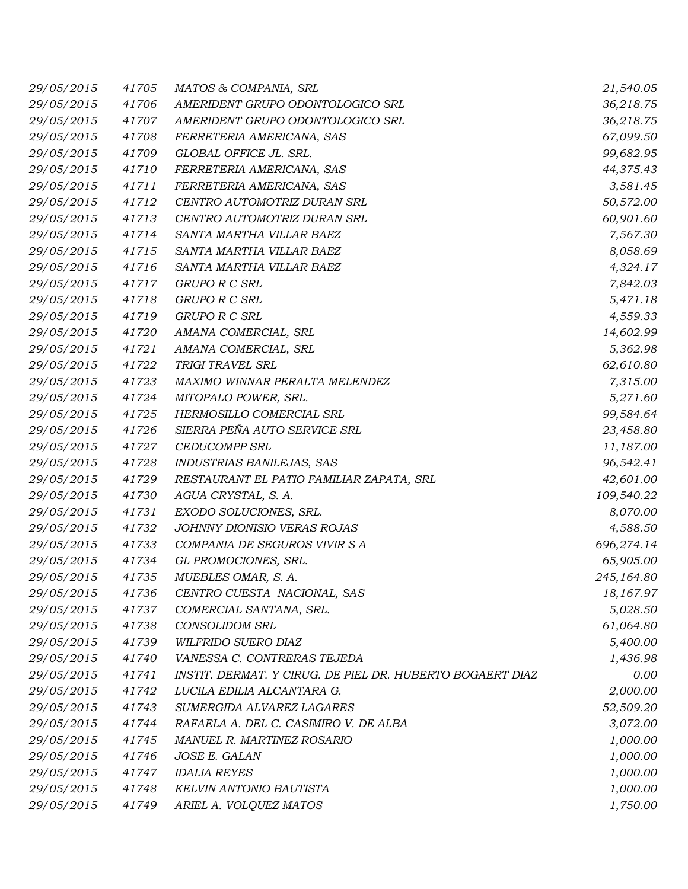| 29/05/2015 | 41705 | MATOS & COMPANIA, SRL                                     | 21,540.05  |
|------------|-------|-----------------------------------------------------------|------------|
| 29/05/2015 | 41706 | AMERIDENT GRUPO ODONTOLOGICO SRL                          | 36,218.75  |
| 29/05/2015 | 41707 | AMERIDENT GRUPO ODONTOLOGICO SRL                          | 36,218.75  |
| 29/05/2015 | 41708 | FERRETERIA AMERICANA, SAS                                 | 67,099.50  |
| 29/05/2015 | 41709 | GLOBAL OFFICE JL. SRL.                                    | 99,682.95  |
| 29/05/2015 | 41710 | FERRETERIA AMERICANA, SAS                                 | 44,375.43  |
| 29/05/2015 | 41711 | FERRETERIA AMERICANA, SAS                                 | 3,581.45   |
| 29/05/2015 | 41712 | CENTRO AUTOMOTRIZ DURAN SRL                               | 50,572.00  |
| 29/05/2015 | 41713 | CENTRO AUTOMOTRIZ DURAN SRL                               | 60,901.60  |
| 29/05/2015 | 41714 | SANTA MARTHA VILLAR BAEZ                                  | 7,567.30   |
| 29/05/2015 | 41715 | SANTA MARTHA VILLAR BAEZ                                  | 8,058.69   |
| 29/05/2015 | 41716 | SANTA MARTHA VILLAR BAEZ                                  | 4,324.17   |
| 29/05/2015 | 41717 | GRUPO R C SRL                                             | 7,842.03   |
| 29/05/2015 | 41718 | GRUPO R C SRL                                             | 5,471.18   |
| 29/05/2015 | 41719 | GRUPO R C SRL                                             | 4,559.33   |
| 29/05/2015 | 41720 | AMANA COMERCIAL, SRL                                      | 14,602.99  |
| 29/05/2015 | 41721 | AMANA COMERCIAL, SRL                                      | 5,362.98   |
| 29/05/2015 | 41722 | TRIGI TRAVEL SRL                                          | 62,610.80  |
| 29/05/2015 | 41723 | MAXIMO WINNAR PERALTA MELENDEZ                            | 7,315.00   |
| 29/05/2015 | 41724 | MITOPALO POWER, SRL.                                      | 5,271.60   |
| 29/05/2015 | 41725 | HERMOSILLO COMERCIAL SRL                                  | 99,584.64  |
| 29/05/2015 | 41726 | SIERRA PEÑA AUTO SERVICE SRL                              | 23,458.80  |
| 29/05/2015 | 41727 | <b>CEDUCOMPP SRL</b>                                      | 11,187.00  |
| 29/05/2015 | 41728 | INDUSTRIAS BANILEJAS, SAS                                 | 96,542.41  |
| 29/05/2015 | 41729 | RESTAURANT EL PATIO FAMILIAR ZAPATA, SRL                  | 42,601.00  |
| 29/05/2015 | 41730 | AGUA CRYSTAL, S. A.                                       | 109,540.22 |
| 29/05/2015 | 41731 | EXODO SOLUCIONES, SRL.                                    | 8,070.00   |
| 29/05/2015 | 41732 | JOHNNY DIONISIO VERAS ROJAS                               | 4,588.50   |
| 29/05/2015 | 41733 | COMPANIA DE SEGUROS VIVIR SA                              | 696,274.14 |
| 29/05/2015 | 41734 | GL PROMOCIONES, SRL.                                      | 65,905.00  |
| 29/05/2015 | 41735 | MUEBLES OMAR, S. A.                                       | 245,164.80 |
| 29/05/2015 | 41736 | CENTRO CUESTA NACIONAL, SAS                               | 18,167.97  |
| 29/05/2015 | 41737 | COMERCIAL SANTANA, SRL.                                   | 5,028.50   |
| 29/05/2015 | 41738 | <b>CONSOLIDOM SRL</b>                                     | 61,064.80  |
| 29/05/2015 | 41739 | WILFRIDO SUERO DIAZ                                       | 5,400.00   |
| 29/05/2015 | 41740 | VANESSA C. CONTRERAS TEJEDA                               | 1,436.98   |
| 29/05/2015 | 41741 | INSTIT. DERMAT. Y CIRUG. DE PIEL DR. HUBERTO BOGAERT DIAZ | 0.00       |
| 29/05/2015 | 41742 | LUCILA EDILIA ALCANTARA G.                                | 2,000.00   |
| 29/05/2015 | 41743 | SUMERGIDA ALVAREZ LAGARES                                 | 52,509.20  |
| 29/05/2015 | 41744 | RAFAELA A. DEL C. CASIMIRO V. DE ALBA                     | 3,072.00   |
| 29/05/2015 | 41745 | MANUEL R. MARTINEZ ROSARIO                                | 1,000.00   |
| 29/05/2015 | 41746 | JOSE E. GALAN                                             | 1,000.00   |
| 29/05/2015 | 41747 | <b>IDALIA REYES</b>                                       | 1,000.00   |
| 29/05/2015 | 41748 | KELVIN ANTONIO BAUTISTA                                   | 1,000.00   |
| 29/05/2015 | 41749 | ARIEL A. VOLQUEZ MATOS                                    | 1,750.00   |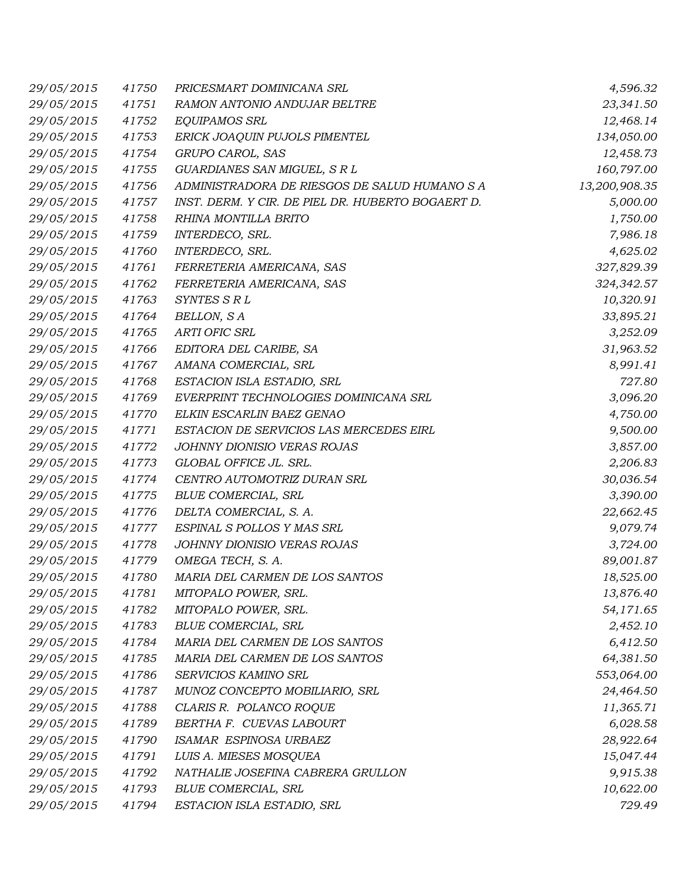| 29/05/2015 | 41750 | PRICESMART DOMINICANA SRL                         | 4,596.32      |
|------------|-------|---------------------------------------------------|---------------|
| 29/05/2015 | 41751 | RAMON ANTONIO ANDUJAR BELTRE                      | 23,341.50     |
| 29/05/2015 | 41752 | EQUIPAMOS SRL                                     | 12,468.14     |
| 29/05/2015 | 41753 | ERICK JOAQUIN PUJOLS PIMENTEL                     | 134,050.00    |
| 29/05/2015 | 41754 | GRUPO CAROL, SAS                                  | 12,458.73     |
| 29/05/2015 | 41755 | GUARDIANES SAN MIGUEL, S R L                      | 160,797.00    |
| 29/05/2015 | 41756 | ADMINISTRADORA DE RIESGOS DE SALUD HUMANO S A     | 13,200,908.35 |
| 29/05/2015 | 41757 | INST. DERM. Y CIR. DE PIEL DR. HUBERTO BOGAERT D. | 5,000.00      |
| 29/05/2015 | 41758 | RHINA MONTILLA BRITO                              | 1,750.00      |
| 29/05/2015 | 41759 | INTERDECO, SRL.                                   | 7,986.18      |
| 29/05/2015 | 41760 | INTERDECO, SRL.                                   | 4,625.02      |
| 29/05/2015 | 41761 | FERRETERIA AMERICANA, SAS                         | 327,829.39    |
| 29/05/2015 | 41762 | FERRETERIA AMERICANA, SAS                         | 324,342.57    |
| 29/05/2015 | 41763 | SYNTES S R L                                      | 10,320.91     |
| 29/05/2015 | 41764 | BELLON, SA                                        | 33,895.21     |
| 29/05/2015 | 41765 | ARTI OFIC SRL                                     | 3,252.09      |
| 29/05/2015 | 41766 | EDITORA DEL CARIBE, SA                            | 31,963.52     |
| 29/05/2015 | 41767 | AMANA COMERCIAL, SRL                              | 8,991.41      |
| 29/05/2015 | 41768 | ESTACION ISLA ESTADIO, SRL                        | 727.80        |
| 29/05/2015 | 41769 | EVERPRINT TECHNOLOGIES DOMINICANA SRL             | 3,096.20      |
| 29/05/2015 | 41770 | ELKIN ESCARLIN BAEZ GENAO                         | 4,750.00      |
| 29/05/2015 | 41771 | ESTACION DE SERVICIOS LAS MERCEDES EIRL           | 9,500.00      |
| 29/05/2015 | 41772 | JOHNNY DIONISIO VERAS ROJAS                       | 3,857.00      |
| 29/05/2015 | 41773 | GLOBAL OFFICE JL. SRL.                            | 2,206.83      |
| 29/05/2015 | 41774 | CENTRO AUTOMOTRIZ DURAN SRL                       | 30,036.54     |
| 29/05/2015 | 41775 | <b>BLUE COMERCIAL, SRL</b>                        | 3,390.00      |
| 29/05/2015 | 41776 | DELTA COMERCIAL, S. A.                            | 22,662.45     |
| 29/05/2015 | 41777 | ESPINAL S POLLOS Y MAS SRL                        | 9,079.74      |
| 29/05/2015 | 41778 | JOHNNY DIONISIO VERAS ROJAS                       | 3,724.00      |
| 29/05/2015 | 41779 | OMEGA TECH, S. A.                                 | 89,001.87     |
| 29/05/2015 | 41780 | MARIA DEL CARMEN DE LOS SANTOS                    | 18,525.00     |
| 29/05/2015 | 41781 | MITOPALO POWER, SRL.                              | 13,876.40     |
| 29/05/2015 | 41782 | MITOPALO POWER, SRL.                              | 54,171.65     |
| 29/05/2015 | 41783 | <b>BLUE COMERCIAL, SRL</b>                        | 2,452.10      |
| 29/05/2015 | 41784 | MARIA DEL CARMEN DE LOS SANTOS                    | 6,412.50      |
| 29/05/2015 | 41785 | MARIA DEL CARMEN DE LOS SANTOS                    | 64,381.50     |
| 29/05/2015 | 41786 | SERVICIOS KAMINO SRL                              | 553,064.00    |
| 29/05/2015 | 41787 | MUNOZ CONCEPTO MOBILIARIO, SRL                    | 24,464.50     |
| 29/05/2015 | 41788 | CLARIS R. POLANCO ROQUE                           | 11,365.71     |
| 29/05/2015 | 41789 | BERTHA F. CUEVAS LABOURT                          | 6,028.58      |
| 29/05/2015 | 41790 | ISAMAR ESPINOSA URBAEZ                            | 28,922.64     |
| 29/05/2015 | 41791 | LUIS A. MIESES MOSQUEA                            | 15,047.44     |
| 29/05/2015 | 41792 | NATHALIE JOSEFINA CABRERA GRULLON                 | 9,915.38      |
| 29/05/2015 | 41793 | <b>BLUE COMERCIAL, SRL</b>                        | 10,622.00     |
| 29/05/2015 | 41794 | ESTACION ISLA ESTADIO, SRL                        | 729.49        |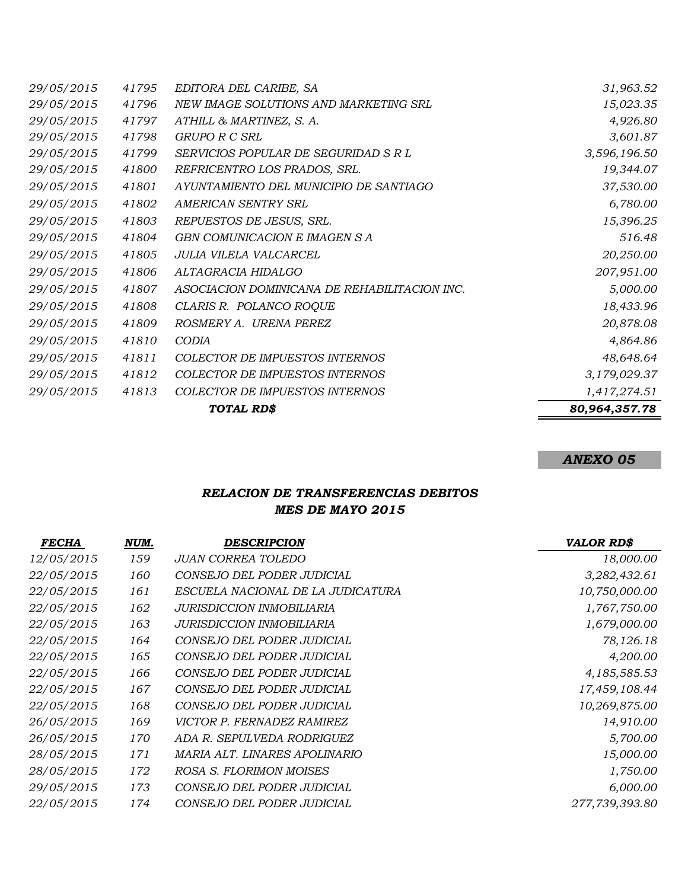|            |       | TOTAL RD\$                                   | 80,964,357.78 |
|------------|-------|----------------------------------------------|---------------|
| 29/05/2015 | 41813 | COLECTOR DE IMPUESTOS INTERNOS               | 1,417,274.51  |
| 29/05/2015 | 41812 | COLECTOR DE IMPUESTOS INTERNOS               | 3,179,029.37  |
| 29/05/2015 | 41811 | COLECTOR DE IMPUESTOS INTERNOS               | 48,648.64     |
| 29/05/2015 | 41810 | CODIA                                        | 4,864.86      |
| 29/05/2015 | 41809 | ROSMERY A. URENA PEREZ                       | 20,878.08     |
| 29/05/2015 | 41808 | CLARIS R. POLANCO ROQUE                      | 18,433.96     |
| 29/05/2015 | 41807 | ASOCIACION DOMINICANA DE REHABILITACION INC. | 5,000.00      |
| 29/05/2015 | 41806 | ALTAGRACIA HIDALGO                           | 207,951.00    |
| 29/05/2015 | 41805 | JULIA VILELA VALCARCEL                       | 20,250.00     |
| 29/05/2015 | 41804 | <b>GBN COMUNICACION E IMAGEN S A</b>         | 516.48        |
| 29/05/2015 | 41803 | REPUESTOS DE JESUS, SRL.                     | 15,396.25     |
| 29/05/2015 | 41802 | AMERICAN SENTRY SRL                          | 6,780.00      |
| 29/05/2015 | 41801 | AYUNTAMIENTO DEL MUNICIPIO DE SANTIAGO       | 37,530.00     |
| 29/05/2015 | 41800 | REFRICENTRO LOS PRADOS, SRL.                 | 19,344.07     |
| 29/05/2015 | 41799 | SERVICIOS POPULAR DE SEGURIDAD S R L         | 3,596,196.50  |
| 29/05/2015 | 41798 | GRUPO R C SRL                                | 3,601.87      |
| 29/05/2015 | 41797 | ATHILL & MARTINEZ, S. A.                     | 4,926.80      |
| 29/05/2015 | 41796 | NEW IMAGE SOLUTIONS AND MARKETING SRL        | 15,023.35     |
| 29/05/2015 | 41795 | EDITORA DEL CARIBE, SA                       | 31,963.52     |

*ANEXO 05*

# *MES DE MAYO 2015 RELACION DE TRANSFERENCIAS DEBITOS*

| <b>FECHA</b> | NUM. | <b>DESCRIPCION</b>                   | <b>VALOR RD\$</b> |
|--------------|------|--------------------------------------|-------------------|
| 12/05/2015   | 159  | JUAN CORREA TOLEDO                   | 18,000.00         |
| 22/05/2015   | 160  | CONSEJO DEL PODER JUDICIAL           | 3,282,432.61      |
| 22/05/2015   | 161  | ESCUELA NACIONAL DE LA JUDICATURA    | 10,750,000.00     |
| 22/05/2015   | 162  | <i>JURISDICCION INMOBILIARIA</i>     | 1,767,750.00      |
| 22/05/2015   | 163  | JURISDICCION INMOBILIARIA            | 1,679,000.00      |
| 22/05/2015   | 164  | CONSEJO DEL PODER JUDICIAL           | 78,126.18         |
| 22/05/2015   | 165  | CONSEJO DEL PODER JUDICIAL           | 4,200.00          |
| 22/05/2015   | 166  | CONSEJO DEL PODER JUDICIAL           | 4,185,585.53      |
| 22/05/2015   | 167  | CONSEJO DEL PODER JUDICIAL           | 17,459,108.44     |
| 22/05/2015   | 168  | CONSEJO DEL PODER JUDICIAL           | 10,269,875.00     |
| 26/05/2015   | 169  | VICTOR P. FERNADEZ RAMIREZ           | 14,910.00         |
| 26/05/2015   | 170  | ADA R. SEPULVEDA RODRIGUEZ           | 5,700.00          |
| 28/05/2015   | 171  | <i>MARIA ALT. LINARES APOLINARIO</i> | 15,000.00         |
| 28/05/2015   | 172  | ROSA S. FLORIMON MOISES              | 1,750.00          |
| 29/05/2015   | 173  | CONSEJO DEL PODER JUDICIAL           | 6,000.00          |
| 22/05/2015   | 174  | CONSEJO DEL PODER JUDICIAL           | 277,739,393.80    |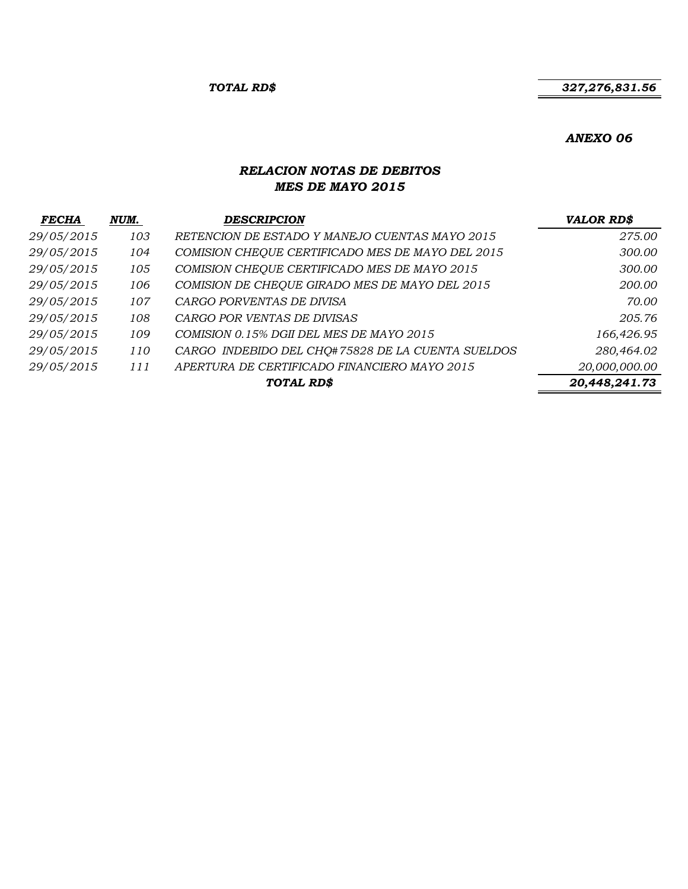#### *327,276,831.56*

#### *ANEXO 06*

#### *RELACION NOTAS DE DEBITOS MES DE MAYO 2015*

| <b>FECHA</b> | NUM. | <b>DESCRIPCION</b>                                | <b>VALOR RD\$</b> |
|--------------|------|---------------------------------------------------|-------------------|
| 29/05/2015   | 103  | RETENCION DE ESTADO Y MANEJO CUENTAS MAYO 2015    | 275.00            |
| 29/05/2015   | 104  | COMISION CHEQUE CERTIFICADO MES DE MAYO DEL 2015  | 300.00            |
| 29/05/2015   | 105  | COMISION CHEQUE CERTIFICADO MES DE MAYO 2015      | 300.00            |
| 29/05/2015   | 106  | COMISION DE CHEQUE GIRADO MES DE MAYO DEL 2015    | 200.00            |
| 29/05/2015   | 107  | CARGO PORVENTAS DE DIVISA                         | 70.00             |
| 29/05/2015   | 108  | CARGO POR VENTAS DE DIVISAS                       | 205.76            |
| 29/05/2015   | 109  | COMISION 0.15% DGII DEL MES DE MAYO 2015          | 166,426.95        |
| 29/05/2015   | 110  | CARGO INDEBIDO DEL CHO#75828 DE LA CUENTA SUELDOS | 280,464.02        |
| 29/05/2015   | 111  | APERTURA DE CERTIFICADO FINANCIERO MAYO 2015      | 20,000,000.00     |
|              |      | TOTAL RD\$                                        | 20,448,241.73     |